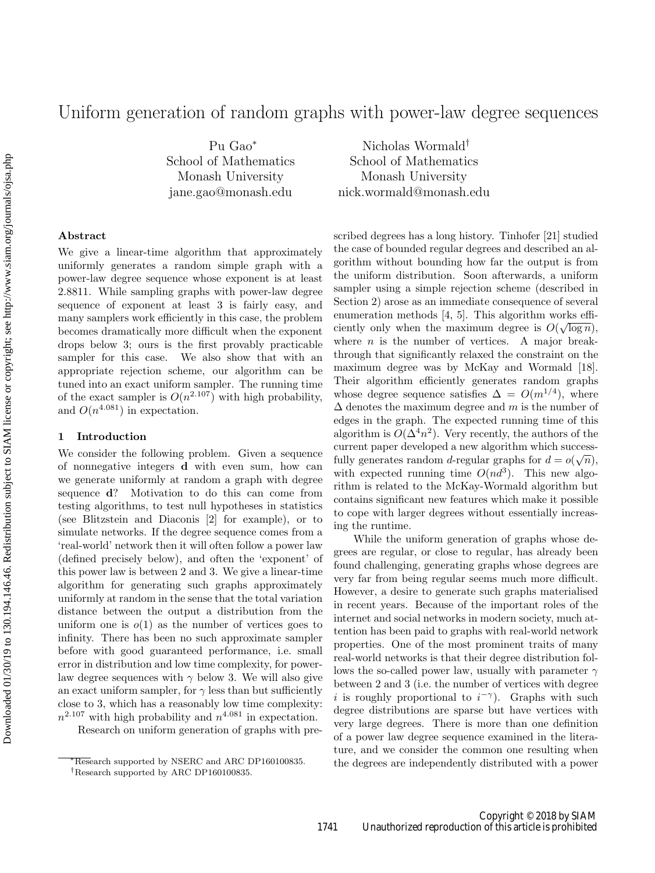# Uniform generation of random graphs with power-law degree sequences

Pu Gao<sup>∗</sup> School of Mathematics Monash University jane.gao@monash.edu

Nicholas Wormald† School of Mathematics Monash University nick.wormald@monash.edu

# Abstract

We give a linear-time algorithm that approximately uniformly generates a random simple graph with a power-law degree sequence whose exponent is at least 2.8811. While sampling graphs with power-law degree sequence of exponent at least 3 is fairly easy, and many samplers work efficiently in this case, the problem becomes dramatically more difficult when the exponent drops below 3; ours is the first provably practicable sampler for this case. We also show that with an appropriate rejection scheme, our algorithm can be tuned into an exact uniform sampler. The running time of the exact sampler is  $O(n^{2.107})$  with high probability, and  $O(n^{4.081})$  in expectation.

## 1 Introduction

We consider the following problem. Given a sequence of nonnegative integers d with even sum, how can we generate uniformly at random a graph with degree sequence d? Motivation to do this can come from testing algorithms, to test null hypotheses in statistics (see Blitzstein and Diaconis [2] for example), or to simulate networks. If the degree sequence comes from a 'real-world' network then it will often follow a power law (defined precisely below), and often the 'exponent' of this power law is between 2 and 3. We give a linear-time algorithm for generating such graphs approximately uniformly at random in the sense that the total variation distance between the output a distribution from the uniform one is  $o(1)$  as the number of vertices goes to infinity. There has been no such approximate sampler before with good guaranteed performance, i.e. small error in distribution and low time complexity, for powerlaw degree sequences with  $\gamma$  below 3. We will also give an exact uniform sampler, for  $\gamma$  less than but sufficiently close to 3, which has a reasonably low time complexity:  $n^{2.107}$  with high probability and  $n^{4.081}$  in expectation.

Research on uniform generation of graphs with pre-

scribed degrees has a long history. Tinhofer [21] studied the case of bounded regular degrees and described an algorithm without bounding how far the output is from the uniform distribution. Soon afterwards, a uniform sampler using a simple rejection scheme (described in Section 2) arose as an immediate consequence of several enumeration methods [4, 5]. This algorithm works efficiently only when the maximum degree is  $O(\sqrt{\log n})$ , where  $n$  is the number of vertices. A major breakthrough that significantly relaxed the constraint on the maximum degree was by McKay and Wormald [18]. Their algorithm efficiently generates random graphs whose degree sequence satisfies  $\Delta = O(m^{1/4})$ , where  $\Delta$  denotes the maximum degree and m is the number of edges in the graph. The expected running time of this algorithm is  $O(\Delta^4 n^2)$ . Very recently, the authors of the current paper developed a new algorithm which successfully generates random d-regular graphs for  $d = o(\sqrt{n})$ , with expected running time  $O(nd^3)$ . This new algorithm is related to the McKay-Wormald algorithm but contains significant new features which make it possible to cope with larger degrees without essentially increasing the runtime.

While the uniform generation of graphs whose degrees are regular, or close to regular, has already been found challenging, generating graphs whose degrees are very far from being regular seems much more difficult. However, a desire to generate such graphs materialised in recent years. Because of the important roles of the internet and social networks in modern society, much attention has been paid to graphs with real-world network properties. One of the most prominent traits of many real-world networks is that their degree distribution follows the so-called power law, usually with parameter  $\gamma$ between 2 and 3 (i.e. the number of vertices with degree i is roughly proportional to  $i^{-\gamma}$ ). Graphs with such degree distributions are sparse but have vertices with very large degrees. There is more than one definition of a power law degree sequence examined in the literature, and we consider the common one resulting when the degrees are independently distributed with a power

<sup>∗</sup>Research supported by NSERC and ARC DP160100835.

<sup>†</sup>Research supported by ARC DP160100835.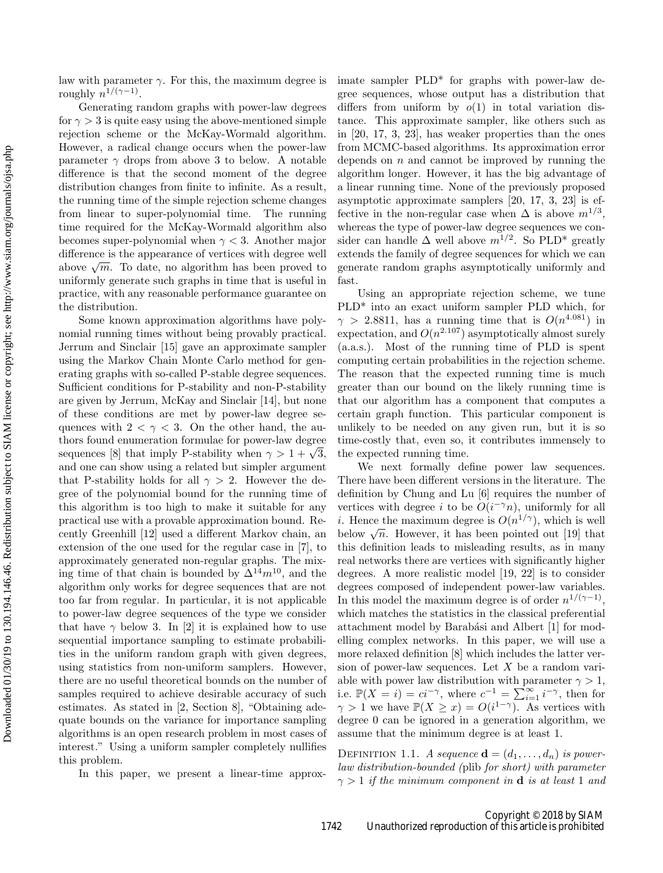law with parameter  $\gamma$ . For this, the maximum degree is roughly  $n^{1/(\gamma-1)}$ .

Generating random graphs with power-law degrees for  $\gamma > 3$  is quite easy using the above-mentioned simple rejection scheme or the McKay-Wormald algorithm. However, a radical change occurs when the power-law parameter  $\gamma$  drops from above 3 to below. A notable difference is that the second moment of the degree distribution changes from finite to infinite. As a result, the running time of the simple rejection scheme changes from linear to super-polynomial time. The running time required for the McKay-Wormald algorithm also becomes super-polynomial when  $\gamma < 3$ . Another major difference is the appearance of vertices with degree well above  $\sqrt{m}$ . To date, no algorithm has been proved to uniformly generate such graphs in time that is useful in practice, with any reasonable performance guarantee on the distribution.

Some known approximation algorithms have polynomial running times without being provably practical. Jerrum and Sinclair [15] gave an approximate sampler using the Markov Chain Monte Carlo method for generating graphs with so-called P-stable degree sequences. Sufficient conditions for P-stability and non-P-stability are given by Jerrum, McKay and Sinclair [14], but none of these conditions are met by power-law degree sequences with  $2 < \gamma < 3$ . On the other hand, the authors found enumeration formulae for power-law degree sequences [8] that imply P-stability when  $\gamma > 1 + \sqrt{3}$ , and one can show using a related but simpler argument that P-stability holds for all  $\gamma > 2$ . However the degree of the polynomial bound for the running time of this algorithm is too high to make it suitable for any practical use with a provable approximation bound. Recently Greenhill [12] used a different Markov chain, an extension of the one used for the regular case in [7], to approximately generated non-regular graphs. The mixing time of that chain is bounded by  $\Delta^{14}m^{10}$ , and the algorithm only works for degree sequences that are not too far from regular. In particular, it is not applicable to power-law degree sequences of the type we consider that have  $\gamma$  below 3. In [2] it is explained how to use sequential importance sampling to estimate probabilities in the uniform random graph with given degrees, using statistics from non-uniform samplers. However, there are no useful theoretical bounds on the number of samples required to achieve desirable accuracy of such estimates. As stated in [2, Section 8], "Obtaining adequate bounds on the variance for importance sampling algorithms is an open research problem in most cases of interest." Using a uniform sampler completely nullifies this problem.

In this paper, we present a linear-time approx-

imate sampler PLD\* for graphs with power-law degree sequences, whose output has a distribution that differs from uniform by  $o(1)$  in total variation distance. This approximate sampler, like others such as in [20, 17, 3, 23], has weaker properties than the ones from MCMC-based algorithms. Its approximation error depends on  $n$  and cannot be improved by running the algorithm longer. However, it has the big advantage of a linear running time. None of the previously proposed asymptotic approximate samplers [20, 17, 3, 23] is effective in the non-regular case when  $\Delta$  is above  $m^{1/3}$ , whereas the type of power-law degree sequences we consider can handle  $\Delta$  well above  $m^{1/2}$ . So PLD<sup>\*</sup> greatly extends the family of degree sequences for which we can generate random graphs asymptotically uniformly and fast.

Using an appropriate rejection scheme, we tune PLD\* into an exact uniform sampler PLD which, for  $\gamma > 2.8811$ , has a running time that is  $O(n^{4.081})$  in expectation, and  $O(n^{2.107})$  asymptotically almost surely (a.a.s.). Most of the running time of PLD is spent computing certain probabilities in the rejection scheme. The reason that the expected running time is much greater than our bound on the likely running time is that our algorithm has a component that computes a certain graph function. This particular component is unlikely to be needed on any given run, but it is so time-costly that, even so, it contributes immensely to the expected running time.

We next formally define power law sequences. There have been different versions in the literature. The definition by Chung and Lu [6] requires the number of vertices with degree i to be  $O(i^{-\gamma}n)$ , uniformly for all *i*. Hence the maximum degree is  $O(n^{1/\gamma})$ , which is well below  $\sqrt{n}$ . However, it has been pointed out [19] that this definition leads to misleading results, as in many real networks there are vertices with significantly higher degrees. A more realistic model [19, 22] is to consider degrees composed of independent power-law variables. In this model the maximum degree is of order  $n^{1/(\gamma-1)}$ , which matches the statistics in the classical preferential attachment model by Barabási and Albert [1] for modelling complex networks. In this paper, we will use a more relaxed definition [8] which includes the latter version of power-law sequences. Let  $X$  be a random variable with power law distribution with parameter  $\gamma > 1$ , i.e.  $\mathbb{P}(X = i) = ci^{-\gamma}$ , where  $c^{-1} = \sum_{i=1}^{\infty} i^{-\gamma}$ , then for  $\gamma > 1$  we have  $\mathbb{P}(X \geq x) = O(i^{1-\gamma})$ . As vertices with degree 0 can be ignored in a generation algorithm, we assume that the minimum degree is at least 1.

DEFINITION 1.1. A sequence  $\mathbf{d} = (d_1, \ldots, d_n)$  is powerlaw distribution-bounded (plib for short) with parameter  $\gamma > 1$  if the minimum component in **d** is at least 1 and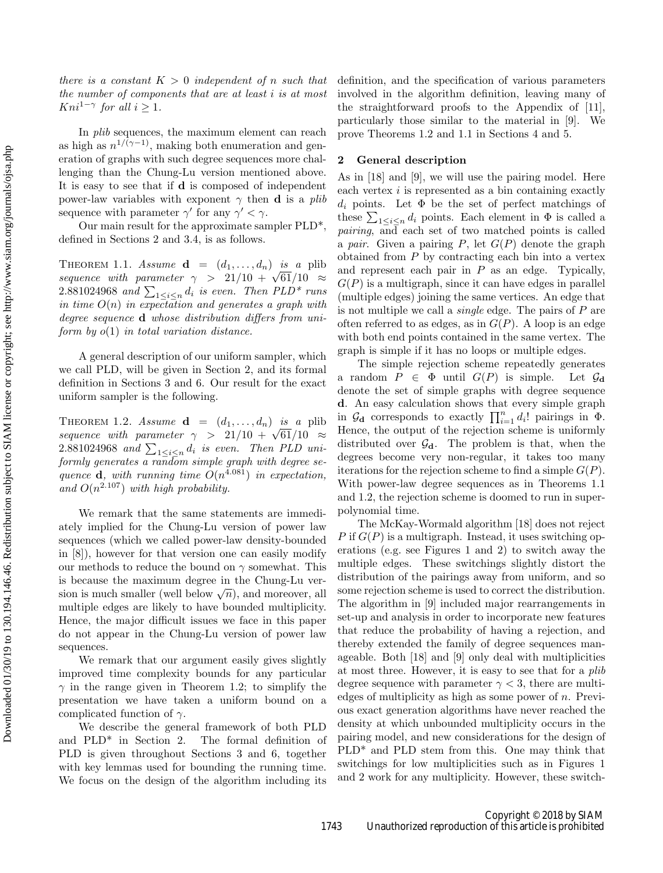there is a constant  $K > 0$  independent of n such that the number of components that are at least i is at most  $Kni^{1-\gamma}$  for all  $i \geq 1$ .

In plib sequences, the maximum element can reach as high as  $n^{1/(\gamma-1)}$ , making both enumeration and generation of graphs with such degree sequences more challenging than the Chung-Lu version mentioned above. It is easy to see that if d is composed of independent power-law variables with exponent  $\gamma$  then **d** is a plib sequence with parameter  $\gamma'$  for any  $\gamma' < \gamma$ .

Our main result for the approximate sampler PLD\*, defined in Sections 2 and 3.4, is as follows.

THEOREM 1.1. Assume  $\mathbf{d} = (d_1, \ldots, d_n)$  is a plib sequence with parameter  $\gamma > 21/10 + \sqrt{61}/10 \approx$  $2.881024968$  and  $\sum_{1 \leq i \leq n} d_i$  is even. Then PLD\* runs in time  $O(n)$  in expectation and generates a graph with degree sequence **d** whose distribution differs from uniform by  $o(1)$  in total variation distance.

A general description of our uniform sampler, which we call PLD, will be given in Section 2, and its formal definition in Sections 3 and 6. Our result for the exact uniform sampler is the following.

THEOREM 1.2. Assume  $\mathbf{d} = (d_1, \ldots, d_n)$  is a plib sequence with parameter  $\gamma > 21/10 + \sqrt{61}/10 \approx$  $2.881024968$  and  $\sum_{1 \leq i \leq n} d_i$  is even. Then PLD uniformly generates a random simple graph with degree sequence **d**, with running time  $O(n^{4.081})$  in expectation, and  $O(n^{2.107})$  with high probability.

We remark that the same statements are immediately implied for the Chung-Lu version of power law sequences (which we called power-law density-bounded in [8]), however for that version one can easily modify our methods to reduce the bound on  $\gamma$  somewhat. This is because the maximum degree in the Chung-Lu version is much smaller (well below  $\sqrt{n}$ ), and moreover, all multiple edges are likely to have bounded multiplicity. Hence, the major difficult issues we face in this paper do not appear in the Chung-Lu version of power law sequences.

We remark that our argument easily gives slightly improved time complexity bounds for any particular  $\gamma$  in the range given in Theorem 1.2; to simplify the presentation we have taken a uniform bound on a complicated function of  $\gamma$ .

We describe the general framework of both PLD and PLD\* in Section 2. The formal definition of PLD is given throughout Sections 3 and 6, together with key lemmas used for bounding the running time. We focus on the design of the algorithm including its definition, and the specification of various parameters involved in the algorithm definition, leaving many of the straightforward proofs to the Appendix of [11], particularly those similar to the material in [9]. We prove Theorems 1.2 and 1.1 in Sections 4 and 5.

#### 2 General description

As in [18] and [9], we will use the pairing model. Here each vertex  $i$  is represented as a bin containing exactly  $d_i$  points. Let  $\Phi$  be the set of perfect matchings of these  $\sum_{1 \leq i \leq n} d_i$  points. Each element in  $\Phi$  is called a pairing, and each set of two matched points is called a pair. Given a pairing  $P$ , let  $G(P)$  denote the graph obtained from  $P$  by contracting each bin into a vertex and represent each pair in  $P$  as an edge. Typically,  $G(P)$  is a multigraph, since it can have edges in parallel (multiple edges) joining the same vertices. An edge that is not multiple we call a single edge. The pairs of P are often referred to as edges, as in  $G(P)$ . A loop is an edge with both end points contained in the same vertex. The graph is simple if it has no loops or multiple edges.

The simple rejection scheme repeatedly generates a random  $P \in \Phi$  until  $G(P)$  is simple. Let  $\mathcal{G}_{d}$ denote the set of simple graphs with degree sequence d. An easy calculation shows that every simple graph in  $\mathcal{G}_{d}$  corresponds to exactly  $\prod_{i=1}^{n} d_{i}!$  pairings in  $\Phi$ . Hence, the output of the rejection scheme is uniformly distributed over  $\mathcal{G}_d$ . The problem is that, when the degrees become very non-regular, it takes too many iterations for the rejection scheme to find a simple  $G(P)$ . With power-law degree sequences as in Theorems 1.1 and 1.2, the rejection scheme is doomed to run in superpolynomial time.

The McKay-Wormald algorithm [18] does not reject P if  $G(P)$  is a multigraph. Instead, it uses switching operations (e.g. see Figures 1 and 2) to switch away the multiple edges. These switchings slightly distort the distribution of the pairings away from uniform, and so some rejection scheme is used to correct the distribution. The algorithm in [9] included major rearrangements in set-up and analysis in order to incorporate new features that reduce the probability of having a rejection, and thereby extended the family of degree sequences manageable. Both [18] and [9] only deal with multiplicities at most three. However, it is easy to see that for a plib degree sequence with parameter  $\gamma < 3$ , there are multiedges of multiplicity as high as some power of  $n$ . Previous exact generation algorithms have never reached the density at which unbounded multiplicity occurs in the pairing model, and new considerations for the design of PLD\* and PLD stem from this. One may think that switchings for low multiplicities such as in Figures 1 and 2 work for any multiplicity. However, these switch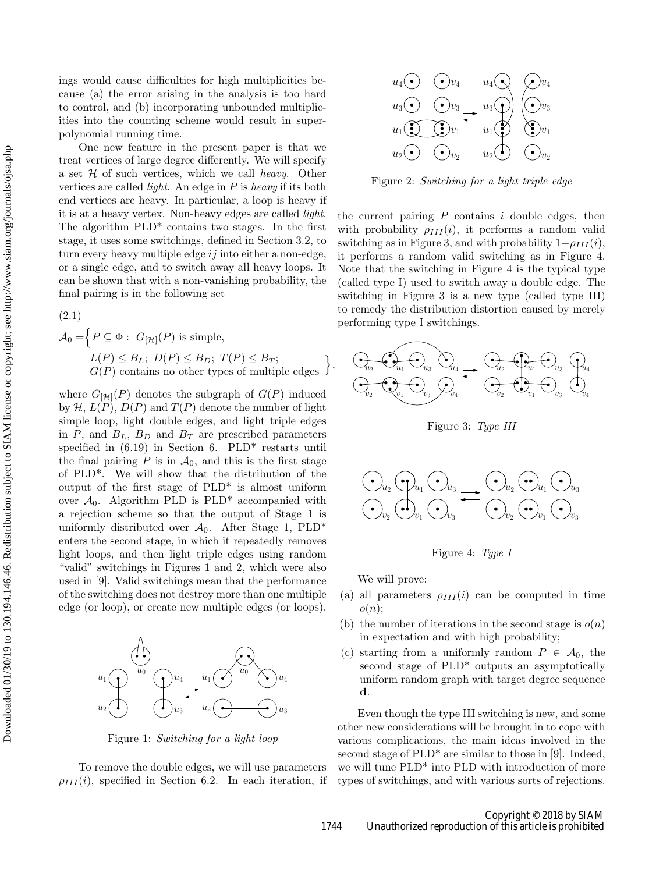ings would cause difficulties for high multiplicities because (a) the error arising in the analysis is too hard to control, and (b) incorporating unbounded multiplicities into the counting scheme would result in superpolynomial running time.

One new feature in the present paper is that we treat vertices of large degree differently. We will specify a set  $H$  of such vertices, which we call *heavy*. Other vertices are called *light*. An edge in  $P$  is heavy if its both end vertices are heavy. In particular, a loop is heavy if it is at a heavy vertex. Non-heavy edges are called light. The algorithm  $PLD^*$  contains two stages. In the first stage, it uses some switchings, defined in Section 3.2, to turn every heavy multiple edge  $ij$  into either a non-edge, or a single edge, and to switch away all heavy loops. It can be shown that with a non-vanishing probability, the final pairing is in the following set

(2.1)  
\n
$$
\mathcal{A}_0 = \Big\{ P \subseteq \Phi : G_{[\mathcal{H}]}(P) \text{ is simple,}
$$
\n
$$
L(P) \leq B_L; \ D(P) \leq B_D; \ T(P) \leq B_T;
$$
\n
$$
G(P) \text{ contains no other types of multiple edges } \Big\}
$$

where  $G_{[\mathcal{H}]}(P)$  denotes the subgraph of  $G(P)$  induced by  $\mathcal{H}, L(P), D(P)$  and  $T(P)$  denote the number of light simple loop, light double edges, and light triple edges in P, and  $B_L$ ,  $B_D$  and  $B_T$  are prescribed parameters specified in  $(6.19)$  in Section 6. PLD<sup>\*</sup> restarts until the final pairing  $P$  is in  $\mathcal{A}_0$ , and this is the first stage of PLD\*. We will show that the distribution of the output of the first stage of PLD\* is almost uniform over  $\mathcal{A}_0$ . Algorithm PLD is PLD<sup>\*</sup> accompanied with a rejection scheme so that the output of Stage 1 is uniformly distributed over  $A_0$ . After Stage 1, PLD<sup>\*</sup> enters the second stage, in which it repeatedly removes light loops, and then light triple edges using random "valid" switchings in Figures 1 and 2, which were also used in [9]. Valid switchings mean that the performance of the switching does not destroy more than one multiple edge (or loop), or create new multiple edges (or loops).



Figure 1: Switching for a light loop

To remove the double edges, we will use parameters  $\rho_{III}(i)$ , specified in Section 6.2. In each iteration, if



Figure 2: Switching for a light triple edge

the current pairing  $P$  contains  $i$  double edges, then with probability  $\rho_{III}(i)$ , it performs a random valid switching as in Figure 3, and with probability  $1-\rho_{III}(i)$ , it performs a random valid switching as in Figure 4. Note that the switching in Figure 4 is the typical type (called type I) used to switch away a double edge. The switching in Figure 3 is a new type (called type III) to remedy the distribution distortion caused by merely performing type I switchings.



Figure 3: Type III



Figure 4: Type I

We will prove:

- (a) all parameters  $\rho_{III}(i)$  can be computed in time  $o(n);$
- (b) the number of iterations in the second stage is  $o(n)$ in expectation and with high probability;
- (c) starting from a uniformly random  $P \in \mathcal{A}_0$ , the second stage of PLD\* outputs an asymptotically uniform random graph with target degree sequence d.

Even though the type III switching is new, and some other new considerations will be brought in to cope with various complications, the main ideas involved in the second stage of  $PLD^*$  are similar to those in [9]. Indeed, we will tune PLD\* into PLD with introduction of more types of switchings, and with various sorts of rejections.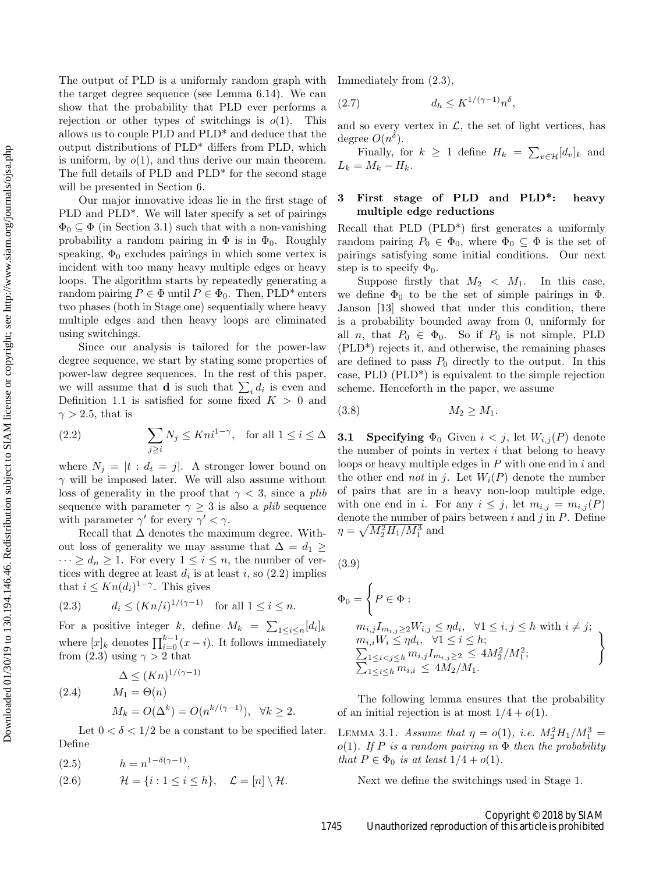The output of PLD is a uniformly random graph with the target degree sequence (see Lemma 6.14). We can show that the probability that PLD ever performs a rejection or other types of switchings is  $o(1)$ . This allows us to couple PLD and PLD\* and deduce that the output distributions of PLD\* differs from PLD, which is uniform, by  $o(1)$ , and thus derive our main theorem. The full details of PLD and PLD\* for the second stage will be presented in Section 6.

Our major innovative ideas lie in the first stage of PLD and PLD\*. We will later specify a set of pairings  $\Phi_0 \subseteq \Phi$  (in Section 3.1) such that with a non-vanishing probability a random pairing in  $\Phi$  is in  $\Phi_0$ . Roughly speaking,  $\Phi_0$  excludes pairings in which some vertex is incident with too many heavy multiple edges or heavy loops. The algorithm starts by repeatedly generating a random pairing  $P \in \Phi$  until  $P \in \Phi_0$ . Then, PLD<sup>\*</sup> enters two phases (both in Stage one) sequentially where heavy multiple edges and then heavy loops are eliminated using switchings.

Since our analysis is tailored for the power-law degree sequence, we start by stating some properties of power-law degree sequences. In the rest of this paper, we will assume that **d** is such that  $\sum_i d_i$  is even and Definition 1.1 is satisfied for some fixed  $K > 0$  and  $\gamma > 2.5$ , that is

(2.2) 
$$
\sum_{j\geq i} N_j \leq K n i^{1-\gamma}, \text{ for all } 1 \leq i \leq \Delta
$$

where  $N_j = |t : d_t = j|$ . A stronger lower bound on  $\gamma$  will be imposed later. We will also assume without loss of generality in the proof that  $\gamma < 3$ , since a plib sequence with parameter  $\gamma \geq 3$  is also a *plib* sequence with parameter  $\gamma'$  for every  $\gamma' < \gamma$ .

Recall that  $\Delta$  denotes the maximum degree. Without loss of generality we may assume that  $\Delta = d_1 \geq$  $\cdots \geq d_n \geq 1$ . For every  $1 \leq i \leq n$ , the number of vertices with degree at least  $d_i$  is at least i, so  $(2.2)$  implies that  $i \leq Kn(d_i)^{1-\gamma}$ . This gives

$$
(2.3) \t d_i \le (Kn/i)^{1/(\gamma - 1)} \t for all  $1 \le i \le n$ .
$$

For a positive integer k, define  $M_k = \sum_{1 \leq i \leq n} [d_i]_k$ where  $[x]_k$  denotes  $\prod_{i=0}^{k-1} (x - i)$ . It follows immediately from (2.3) using  $\gamma > 2$  that

$$
\Delta \le (Kn)^{1/(\gamma - 1)}
$$
  
(2.4) 
$$
M_1 = \Theta(n)
$$

$$
M_k = O(\Delta^k) = O(n^{k/(\gamma - 1)}), \quad \forall k \ge 2.
$$

Let  $0 < \delta < 1/2$  be a constant to be specified later. Define

$$
(2.5) \qquad \qquad h = n^{1 - \delta(\gamma - 1)},
$$

(2.6) 
$$
\mathcal{H} = \{i : 1 \leq i \leq h\}, \quad \mathcal{L} = [n] \setminus \mathcal{H}.
$$

Immediately from (2.3),

$$
(2.7) \t\t d_h \leq K^{1/(\gamma - 1)} n^{\delta},
$$

and so every vertex in  $\mathcal{L}$ , the set of light vertices, has degree  $O(n^{\delta})$ .

Finally, for  $k \geq 1$  define  $H_k = \sum_{v \in \mathcal{H}} [d_v]_k$  and  $L_k = M_k - H_k.$ 

# 3 First stage of PLD and PLD\*: heavy multiple edge reductions

Recall that PLD (PLD\*) first generates a uniformly random pairing  $P_0 \in \Phi_0$ , where  $\Phi_0 \subseteq \Phi$  is the set of pairings satisfying some initial conditions. Our next step is to specify  $\Phi_0$ .

Suppose firstly that  $M_2 < M_1$ . In this case, we define  $\Phi_0$  to be the set of simple pairings in  $\Phi$ . Janson [13] showed that under this condition, there is a probability bounded away from 0, uniformly for all *n*, that  $P_0 \in \Phi_0$ . So if  $P_0$  is not simple, PLD (PLD\*) rejects it, and otherwise, the remaining phases are defined to pass  $P_0$  directly to the output. In this case, PLD (PLD\*) is equivalent to the simple rejection scheme. Henceforth in the paper, we assume

$$
(3.8) \t\t\t M_2 \ge M_1.
$$

**3.1 Specifying**  $\Phi_0$  Given  $i < j$ , let  $W_{i,j}(P)$  denote the number of points in vertex  $i$  that belong to heavy loops or heavy multiple edges in  $P$  with one end in i and the other end not in j. Let  $W_i(P)$  denote the number of pairs that are in a heavy non-loop multiple edge, with one end in i. For any  $i \leq j$ , let  $m_{i,j} = m_{i,j}(P)$ denote the number of pairs between  $i$  and  $j$  in  $P$ . Define  $\eta = \sqrt{M_2^2 H_1/M_1^3}$  and

(3.9)

$$
\Phi_0 = \left\{ P \in \Phi : \n m_{i,j} I_{m_{i,j}} \ge 2W_{i,j} \le \eta d_i, \quad \forall 1 \le i, j \le h \text{ with } i \ne j; \n m_{i,i} W_i \le \eta d_i, \quad \forall 1 \le i \le h; \n \sum_{1 \le i < j \le h} m_{i,j} I_{m_{i,j} \ge 2} \le 4M_2^2/M_1^2; \n \sum_{1 \le i \le h} m_{i,i} \le 4M_2/M_1.
$$

The following lemma ensures that the probability of an initial rejection is at most  $1/4 + o(1)$ .

LEMMA 3.1. Assume that  $\eta = o(1)$ , i.e.  $M_2^2 H_1 / M_1^3 =$ o(1). If P is a random pairing in  $\Phi$  then the probability that  $P \in \Phi_0$  is at least  $1/4 + o(1)$ .

Next we define the switchings used in Stage 1.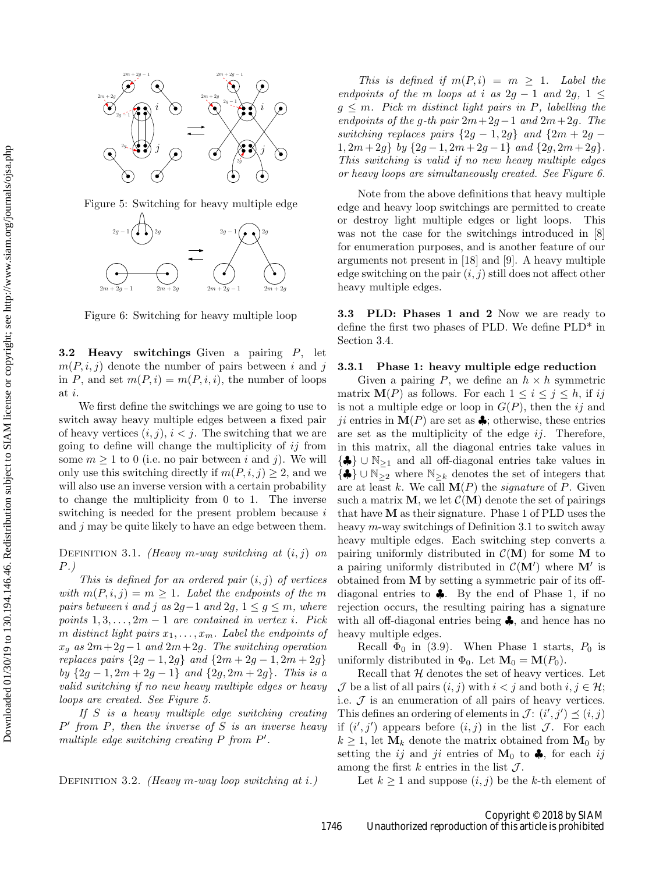

Figure 5: Switching for heavy multiple edge



Figure 6: Switching for heavy multiple loop

**3.2 Heavy switchings** Given a pairing  $P$ , let  $m(P, i, j)$  denote the number of pairs between i and j in P, and set  $m(P, i) = m(P, i, i)$ , the number of loops at i.

We first define the switchings we are going to use to switch away heavy multiple edges between a fixed pair of heavy vertices  $(i, j)$ ,  $i < j$ . The switching that we are going to define will change the multiplicity of  $ij$  from some  $m \geq 1$  to 0 (i.e. no pair between i and j). We will only use this switching directly if  $m(P, i, j) \geq 2$ , and we will also use an inverse version with a certain probability to change the multiplicity from 0 to 1. The inverse switching is needed for the present problem because i and  $j$  may be quite likely to have an edge between them.

DEFINITION 3.1. (Heavy m-way switching at  $(i, j)$  on P.)

This is defined for an ordered pair  $(i, j)$  of vertices with  $m(P, i, j) = m \ge 1$ . Label the endpoints of the m pairs between i and j as  $2g-1$  and  $2g$ ,  $1 \le g \le m$ , where points  $1, 3, \ldots, 2m-1$  are contained in vertex i. Pick m distinct light pairs  $x_1, \ldots, x_m$ . Label the endpoints of  $x_q$  as  $2m+2g-1$  and  $2m+2g$ . The switching operation replaces pairs  $\{2g - 1, 2g\}$  and  $\{2m + 2g - 1, 2m + 2g\}$ by  ${2g-1, 2m+2g-1}$  and  ${2g, 2m+2g}$ . This is a valid switching if no new heavy multiple edges or heavy loops are created. See Figure 5.

If  $S$  is a heavy multiple edge switching creating  $P'$  from  $P$ , then the inverse of  $S$  is an inverse heavy multiple edge switching creating  $P$  from  $P'$ .

DEFINITION 3.2. (Heavy m-way loop switching at i.)

This is defined if  $m(P, i) = m \geq 1$ . Label the endpoints of the m loops at i as  $2q - 1$  and  $2q$ ,  $1 \leq$  $g \leq m$ . Pick m distinct light pairs in P, labelling the endpoints of the g-th pair  $2m+2g-1$  and  $2m+2g$ . The switching replaces pairs  $\{2g - 1, 2g\}$  and  $\{2m + 2g - 1\}$  $1, 2m + 2g$  by  $\{2g - 1, 2m + 2g - 1\}$  and  $\{2g, 2m + 2g\}.$ This switching is valid if no new heavy multiple edges or heavy loops are simultaneously created. See Figure 6.

Note from the above definitions that heavy multiple edge and heavy loop switchings are permitted to create or destroy light multiple edges or light loops. This was not the case for the switchings introduced in [8] for enumeration purposes, and is another feature of our arguments not present in [18] and [9]. A heavy multiple edge switching on the pair  $(i, j)$  still does not affect other heavy multiple edges.

**3.3 PLD: Phases 1 and 2** Now we are ready to define the first two phases of PLD. We define PLD\* in Section 3.4.

#### 3.3.1 Phase 1: heavy multiple edge reduction

Given a pairing P, we define an  $h \times h$  symmetric matrix  $\mathbf{M}(P)$  as follows. For each  $1 \leq i \leq j \leq h$ , if ij is not a multiple edge or loop in  $G(P)$ , then the ij and ji entries in  $\mathbf{M}(P)$  are set as  $\clubsuit$ ; otherwise, these entries are set as the multiplicity of the edge  $ij$ . Therefore, in this matrix, all the diagonal entries take values in {♣} ∪ <sup>N</sup><sup>≥</sup><sup>1</sup> and all off-diagonal entries take values in  $\{\clubsuit\} \cup \mathbb{N}_{\geq 2}$  where  $\mathbb{N}_{\geq k}$  denotes the set of integers that are at least k. We call  $\mathbf{M}(P)$  the *signature* of P. Given such a matrix **M**, we let  $\mathcal{C}(\mathbf{M})$  denote the set of pairings that have  $M$  as their signature. Phase 1 of PLD uses the heavy m-way switchings of Definition 3.1 to switch away heavy multiple edges. Each switching step converts a pairing uniformly distributed in  $\mathcal{C}(\mathbf{M})$  for some M to a pairing uniformly distributed in  $C(\mathbf{M}')$  where  $\mathbf{M}'$  is obtained from M by setting a symmetric pair of its offdiagonal entries to  $\clubsuit$ . By the end of Phase 1, if no rejection occurs, the resulting pairing has a signature with all off-diagonal entries being ♣, and hence has no heavy multiple edges.

Recall  $\Phi_0$  in (3.9). When Phase 1 starts,  $P_0$  is uniformly distributed in  $\Phi_0$ . Let  $\mathbf{M}_0 = \mathbf{M}(P_0)$ .

Recall that  $H$  denotes the set of heavy vertices. Let  $\mathcal J$  be a list of all pairs  $(i, j)$  with  $i < j$  and both  $i, j \in \mathcal H$ ; i.e.  $\mathcal J$  is an enumeration of all pairs of heavy vertices. This defines an ordering of elements in  $\mathcal{J} : (i', j') \preceq (i, j)$ if  $(i',j')$  appears before  $(i, j)$  in the list  $\mathcal{J}$ . For each  $k \geq 1$ , let  $\mathbf{M}_k$  denote the matrix obtained from  $\mathbf{M}_0$  by setting the ij and ji entries of  $M_0$  to  $\clubsuit$ , for each ij among the first k entries in the list  $\mathcal{J}$ .

Let  $k \geq 1$  and suppose  $(i, j)$  be the k-th element of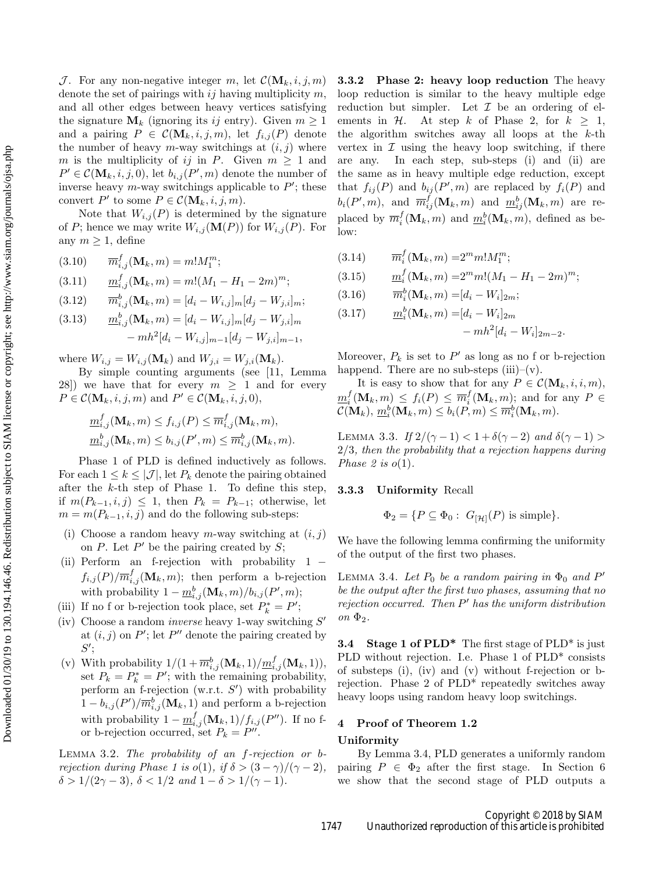J. For any non-negative integer m, let  $\mathcal{C}(\mathbf{M}_k, i, j, m)$ denote the set of pairings with  $ij$  having multiplicity  $m$ , and all other edges between heavy vertices satisfying the signature  $\mathbf{M}_k$  (ignoring its ij entry). Given  $m \geq 1$ and a pairing  $P \in \mathcal{C}(\mathbf{M}_k, i, j, m)$ , let  $f_{i,j}(P)$  denote the number of heavy m-way switchings at  $(i, j)$  where m is the multiplicity of ij in P. Given  $m \geq 1$  and  $P' \in \mathcal{C}(\mathbf{M}_k, i, j, 0)$ , let  $b_{i,j}(P', m)$  denote the number of inverse heavy  $m$ -way switchings applicable to  $P'$ ; these convert  $P'$  to some  $P \in \mathcal{C}(\mathbf{M}_k, i, j, m)$ .

Note that  $W_{i,j}(P)$  is determined by the signature of P; hence we may write  $W_{i,j}(\mathbf{M}(P))$  for  $W_{i,j}(P)$ . For any  $m \geq 1$ , define

(3.10) 
$$
\overline{m}_{i,j}^f(\mathbf{M}_k, m) = m!M_1^m;
$$
  
\n(3.11)  $\underline{m}_{i,j}^f(\mathbf{M}_k, m) = m!(M_1 - H_1 - 2m)^m;$   
\n(3.12)  $\overline{m}_{i,j}^b(\mathbf{M}_k, m) = [d_i - W_{i,j}]_m [d_j - W_{j,i}]_m;$   
\n(3.13)  $\underline{m}_{i,j}^b(\mathbf{M}_k, m) = [d_i - W_{i,j}]_m [d_j - W_{j,i}]_m$ 

where  $W_{i,j} = W_{i,j}(\mathbf{M}_k)$  and  $W_{j,i} = W_{j,i}(\mathbf{M}_k)$ .

By simple counting arguments (see [11, Lemma 28) we have that for every  $m \geq 1$  and for every  $P \in \mathcal{C}(\mathbf{M}_k, i, j, m)$  and  $P' \in \mathcal{C}(\mathbf{M}_k, i, j, 0),$ 

 $-mh^{2}[d_{i}-W_{i,j}]_{m-1}[d_{j}-W_{j,i}]_{m-1},$ 

$$
\underline{m}_{i,j}^f(\mathbf{M}_k, m) \le f_{i,j}(P) \le \overline{m}_{i,j}^f(\mathbf{M}_k, m), \n\underline{m}_{i,j}^b(\mathbf{M}_k, m) \le b_{i,j}(P', m) \le \overline{m}_{i,j}^b(\mathbf{M}_k, m).
$$

Phase 1 of PLD is defined inductively as follows. For each  $1 \leq k \leq |\mathcal{J}|$ , let  $P_k$  denote the pairing obtained after the  $k$ -th step of Phase 1. To define this step, if  $m(P_{k-1}, i, j)$  ≤ 1, then  $P_k = P_{k-1}$ ; otherwise, let  $m = m(P_{k-1}, i, j)$  and do the following sub-steps:

- (i) Choose a random heavy m-way switching at  $(i, j)$ on  $P$ . Let  $P'$  be the pairing created by  $S$ ;
- (ii) Perform an f-rejection with probability 1 −  $f_{i,j}(P)/\overline{m}_{i,j}^f(\mathbf{M}_k,m)$ ; then perform a b-rejection with probability  $1 - \underline{m}_{i,j}^b(\mathbf{M}_k, m) / b_{i,j}(P', m);$
- (iii) If no f or b-rejection took place, set  $P_k^* = P'$ ;
- (iv) Choose a random *inverse* heavy 1-way switching  $S'$ at  $(i, j)$  on P'; let P'' denote the pairing created by  $S';$
- (v) With probability  $1/(1+\overline{m}_{i,j}^b(\mathbf{M}_k,1)/\underline{m}_{i,j}^f(\mathbf{M}_k,1)),$ set  $P_k = P_k^* = P'$ ; with the remaining probability, perform an f-rejection  $(w.r.t. S')$  with probability  $1 - b_{i,j}(P')/\overline{m}_{i,j}^b(\mathbf{M}_k, 1)$  and perform a b-rejection with probability  $1 - \underline{m}_{i,j}^f(\mathbf{M}_k, 1) / f_{i,j}(P'')$ . If no for b-rejection occurred, set  $P_k = P''$ .

Lemma 3.2. The probability of an f-rejection or brejection during Phase 1 is  $o(1)$ , if  $\delta > (3 - \gamma)/(\gamma - 2)$ ,  $δ > 1/(2γ - 3), δ < 1/2$  and  $1 - δ > 1/(γ - 1)$ .

3.3.2 Phase 2: heavy loop reduction The heavy loop reduction is similar to the heavy multiple edge reduction but simpler. Let  $\mathcal I$  be an ordering of elements in  $\mathcal H$ . At step  $k$  of Phase 2, for  $k \geq 1$ , At step k of Phase 2, for  $k \geq 1$ , the algorithm switches away all loops at the  $k$ -th vertex in  $\mathcal I$  using the heavy loop switching, if there are any. In each step, sub-steps (i) and (ii) are In each step, sub-steps  $(i)$  and  $(ii)$  are the same as in heavy multiple edge reduction, except that  $f_{ij}(P)$  and  $b_{ij}(P', m)$  are replaced by  $f_i(P)$  and  $b_i(P', m)$ , and  $\overline{m}_{ij}^f(\mathbf{M}_k, m)$  and  $\underline{m}_{ij}^b(\mathbf{M}_k, m)$  are replaced by  $\overline{m}_i^f(\mathbf{M}_k, m)$  and  $\underline{m}_i^b(\mathbf{M}_k, m)$ , defined as below:

(3.14)  $\overline{m}_i^f(\mathbf{M}_k, m) = 2^m m! M_1^m;$ 

$$
(3.15) \t\t m_i^f(\mathbf{M}_k, m) = 2^m m!(M_1 - H_1 - 2m)^m;
$$

(3.16) 
$$
\overline{m}_i^b(\mathbf{M}_k, m) = [d_i - W_i]_{2m};
$$

(3.17) 
$$
\underline{m}_i^b(\mathbf{M}_k, m) = [d_i - W_i]_{2m} - mh^2[d_i - W_i]_{2m-2}.
$$

Moreover,  $P_k$  is set to  $P'$  as long as no f or b-rejection happend. There are no sub-steps  $(iii)$ – $(v)$ .

It is easy to show that for any  $P \in \mathcal{C}(\mathbf{M}_k, i, i, m)$ ,  $\underline{m}_{i}^{f}(\mathbf{M}_{k},m) \leq f_{i}(P) \leq \overline{m}_{i}^{f}(\mathbf{M}_{k},m);$  and for any  $P \in$  $\mathcal{C}(\mathbf{M}_k), \, \underline{m}_i^b(\mathbf{M}_k, m) \leq b_i(P, m) \leq \overline{m}_i^b(\mathbf{M}_k, m).$ 

LEMMA 3.3. If  $2/(\gamma - 1) < 1 + \delta(\gamma - 2)$  and  $\delta(\gamma - 1) >$ 2/3, then the probability that a rejection happens during Phase 2 is  $o(1)$ .

## 3.3.3 Uniformity Recall

$$
\Phi_2 = \{ P \subseteq \Phi_0 : G_{[\mathcal{H}]}(P) \text{ is simple} \}.
$$

We have the following lemma confirming the uniformity of the output of the first two phases.

LEMMA 3.4. Let  $P_0$  be a random pairing in  $\Phi_0$  and  $P'$ be the output after the first two phases, assuming that no  $rejection$  occurred. Then  $P'$  has the uniform distribution on  $\Phi_2$ .

**3.4** Stage 1 of  $\text{PLD}^*$  The first stage of  $\text{PLD}^*$  is just PLD without rejection. I.e. Phase 1 of PLD\* consists of substeps (i), (iv) and (v) without f-rejection or brejection. Phase 2 of PLD\* repeatedly switches away heavy loops using random heavy loop switchings.

# 4 Proof of Theorem 1.2

## Uniformity

By Lemma 3.4, PLD generates a uniformly random pairing  $P \in \Phi_2$  after the first stage. In Section 6 we show that the second stage of PLD outputs a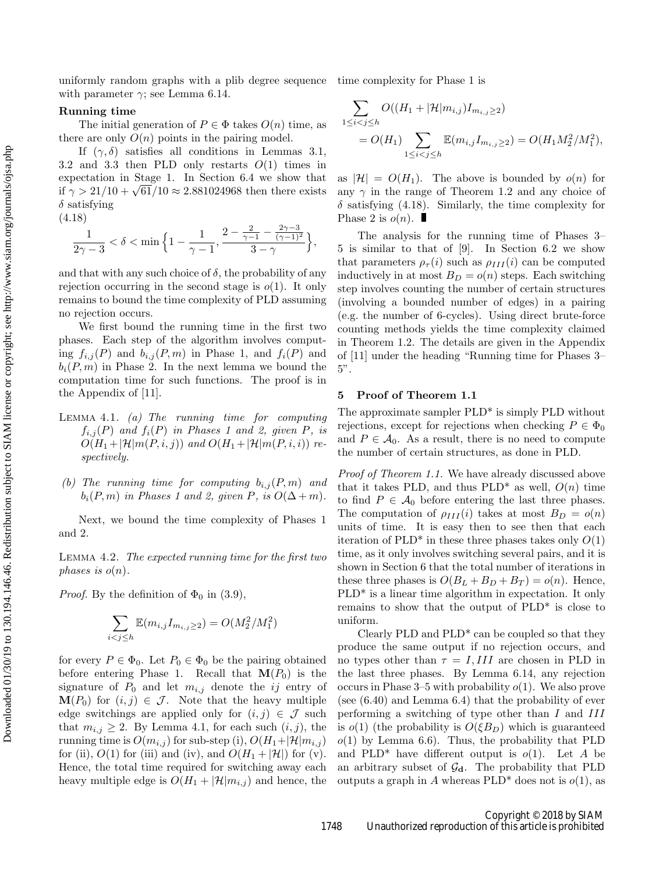uniformly random graphs with a plib degree sequence time complexity for Phase 1 is with parameter  $\gamma$ ; see Lemma 6.14.

## Running time

The initial generation of  $P \in \Phi$  takes  $O(n)$  time, as there are only  $O(n)$  points in the pairing model.

If  $(\gamma, \delta)$  satisfies all conditions in Lemmas 3.1, 3.2 and 3.3 then PLD only restarts  $O(1)$  times in expectation in Stage 1. In Section 6.4 we show that if  $\gamma > 21/10 + \sqrt{61}/10 \approx 2.881024968$  then there exists  $\delta$  satisfying

(4.18)

$$
\frac{1}{2\gamma-3} < \delta < \min\Big\{1-\frac{1}{\gamma-1}, \frac{2-\frac{2}{\gamma-1}-\frac{2\gamma-3}{(\gamma-1)^2}}{3-\gamma}\Big\},
$$

and that with any such choice of  $\delta$ , the probability of any rejection occurring in the second stage is  $o(1)$ . It only remains to bound the time complexity of PLD assuming no rejection occurs.

We first bound the running time in the first two phases. Each step of the algorithm involves computing  $f_{i,j}(P)$  and  $b_{i,j}(P,m)$  in Phase 1, and  $f_i(P)$  and  $b_i(P, m)$  in Phase 2. In the next lemma we bound the computation time for such functions. The proof is in the Appendix of [11].

- LEMMA 4.1. (a) The running time for computing  $f_{i,j}(P)$  and  $f_i(P)$  in Phases 1 and 2, given P, is  $O(H_1+|\mathcal{H}|m(P,i,j))$  and  $O(H_1+|\mathcal{H}|m(P,i,i))$  respectively.
- (b) The running time for computing  $b_{i,j}(P,m)$  and  $b_i(P, m)$  in Phases 1 and 2, given P, is  $O(\Delta + m)$ .

Next, we bound the time complexity of Phases 1 and 2.

Lemma 4.2. The expected running time for the first two phases is  $o(n)$ .

*Proof.* By the definition of  $\Phi_0$  in (3.9),

$$
\sum_{i < j \le h} \mathbb{E}(m_{i,j} I_{m_{i,j} \ge 2}) = O(M_2^2 / M_1^2)
$$

for every  $P \in \Phi_0$ . Let  $P_0 \in \Phi_0$  be the pairing obtained before entering Phase 1. Recall that  $\mathbf{M}(P_0)$  is the signature of  $P_0$  and let  $m_{i,j}$  denote the ij entry of  $\mathbf{M}(P_0)$  for  $(i, j) \in \mathcal{J}$ . Note that the heavy multiple edge switchings are applied only for  $(i, j) \in \mathcal{J}$  such that  $m_{i,j} \geq 2$ . By Lemma 4.1, for each such  $(i, j)$ , the running time is  $O(m_{i,j})$  for sub-step (i),  $O(H_1+|\mathcal{H}|m_{i,j})$ for (ii),  $O(1)$  for (iii) and (iv), and  $O(H_1 + |\mathcal{H}|)$  for (v). Hence, the total time required for switching away each heavy multiple edge is  $O(H_1 + |\mathcal{H}|m_{i,j})$  and hence, the

$$
\sum_{1 \le i < j \le h} O((H_1 + |\mathcal{H}| m_{i,j}) I_{m_{i,j} \ge 2})
$$
\n
$$
= O(H_1) \sum_{1 \le i < j \le h} \mathbb{E}(m_{i,j} I_{m_{i,j} \ge 2}) = O(H_1 M_2^2 / M_1^2),
$$

as  $|\mathcal{H}| = O(H_1)$ . The above is bounded by  $o(n)$  for any  $\gamma$  in the range of Theorem 1.2 and any choice of  $\delta$  satisfying (4.18). Similarly, the time complexity for Phase 2 is  $o(n)$ .

The analysis for the running time of Phases 3– 5 is similar to that of [9]. In Section 6.2 we show that parameters  $\rho_{\tau}(i)$  such as  $\rho_{III}(i)$  can be computed inductively in at most  $B_D = o(n)$  steps. Each switching step involves counting the number of certain structures (involving a bounded number of edges) in a pairing (e.g. the number of 6-cycles). Using direct brute-force counting methods yields the time complexity claimed in Theorem 1.2. The details are given in the Appendix of [11] under the heading "Running time for Phases 3– 5".

#### 5 Proof of Theorem 1.1

The approximate sampler PLD<sup>\*</sup> is simply PLD without rejections, except for rejections when checking  $P \in \Phi_0$ and  $P \in \mathcal{A}_0$ . As a result, there is no need to compute the number of certain structures, as done in PLD.

Proof of Theorem 1.1. We have already discussed above that it takes PLD, and thus PLD<sup>\*</sup> as well,  $O(n)$  time to find  $P \in \mathcal{A}_0$  before entering the last three phases. The computation of  $\rho_{III}(i)$  takes at most  $B_D = o(n)$ units of time. It is easy then to see then that each iteration of  $PLD^*$  in these three phases takes only  $O(1)$ time, as it only involves switching several pairs, and it is shown in Section 6 that the total number of iterations in these three phases is  $O(B_L + B_D + B_T) = o(n)$ . Hence, PLD\* is a linear time algorithm in expectation. It only remains to show that the output of PLD\* is close to uniform.

Clearly PLD and PLD\* can be coupled so that they produce the same output if no rejection occurs, and no types other than  $\tau = I, III$  are chosen in PLD in the last three phases. By Lemma 6.14, any rejection occurs in Phase  $3-5$  with probability  $o(1)$ . We also prove (see (6.40) and Lemma 6.4) that the probability of ever performing a switching of type other than I and III is  $o(1)$  (the probability is  $O(\xi B_D)$ ) which is guaranteed  $o(1)$  by Lemma 6.6). Thus, the probability that PLD and PLD<sup>\*</sup> have different output is  $o(1)$ . Let A be an arbitrary subset of  $\mathcal{G}_d$ . The probability that PLD outputs a graph in A whereas  $PLD^*$  does not is  $o(1)$ , as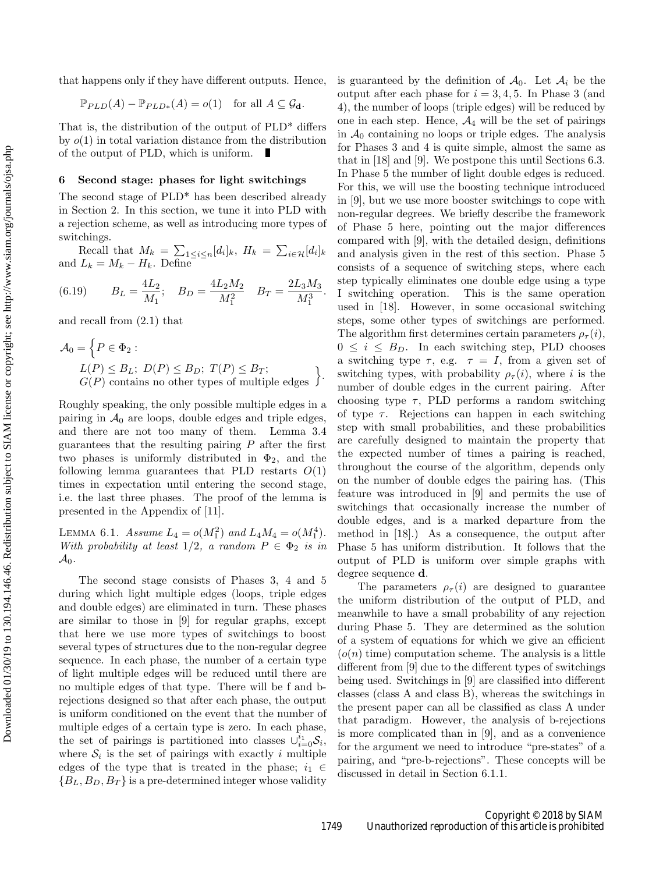Downloaded 01/30/19 to 130.194.146.46. Redistribution subject to SIAM license or copyright; see http://www.siam.org/journals/ojsa.php Downloaded 01/30/19 to 130.194.146.46. Redistribution subject to SIAM license or copyright; see http://www.siam.org/journals/ojsa.php that happens only if they have different outputs. Hence,

$$
\mathbb{P}_{PLD}(A) - \mathbb{P}_{PLD*}(A) = o(1) \text{ for all } A \subseteq \mathcal{G}_{\mathbf{d}}.
$$

That is, the distribution of the output of PLD\* differs by  $o(1)$  in total variation distance from the distribution of the output of PLD, which is uniform.

## 6 Second stage: phases for light switchings

The second stage of PLD\* has been described already in Section 2. In this section, we tune it into PLD with a rejection scheme, as well as introducing more types of switchings.

Recall that  $M_k = \sum_{1 \leq i \leq n} [d_i]_k$ ,  $H_k = \sum_{i \in \mathcal{H}} [d_i]_k$ and  $L_k = M_k - H_k$ . Define

(6.19) 
$$
B_L = \frac{4L_2}{M_1}; \quad B_D = \frac{4L_2M_2}{M_1^2} \quad B_T = \frac{2L_3M_3}{M_1^3}.
$$

and recall from (2.1) that

$$
\mathcal{A}_0 = \left\{ P \in \Phi_2 : L(P) \leq B_L; \ D(P) \leq B_D; \ T(P) \leq B_T; G(P) \text{ contains no other types of multiple edges } \right\}.
$$

Roughly speaking, the only possible multiple edges in a pairing in  $\mathcal{A}_0$  are loops, double edges and triple edges, and there are not too many of them. Lemma 3.4 guarantees that the resulting pairing  $P$  after the first two phases is uniformly distributed in  $\Phi_2$ , and the following lemma guarantees that PLD restarts  $O(1)$ times in expectation until entering the second stage, i.e. the last three phases. The proof of the lemma is presented in the Appendix of [11].

LEMMA 6.1. Assume  $L_4 = o(M_1^2)$  and  $L_4M_4 = o(M_1^4)$ . With probability at least  $1/2$ , a random  $P \in \Phi_2$  is in  $\mathcal{A}_0$ .

The second stage consists of Phases 3, 4 and 5 during which light multiple edges (loops, triple edges and double edges) are eliminated in turn. These phases are similar to those in [9] for regular graphs, except that here we use more types of switchings to boost several types of structures due to the non-regular degree sequence. In each phase, the number of a certain type of light multiple edges will be reduced until there are no multiple edges of that type. There will be f and brejections designed so that after each phase, the output is uniform conditioned on the event that the number of multiple edges of a certain type is zero. In each phase, the set of pairings is partitioned into classes  $\cup_{i=0}^{i_1} S_i$ , where  $S_i$  is the set of pairings with exactly i multiple edges of the type that is treated in the phase;  $i_1 \in$  ${B_L, B_D, B_T}$  is a pre-determined integer whose validity

is guaranteed by the definition of  $\mathcal{A}_0$ . Let  $\mathcal{A}_i$  be the output after each phase for  $i = 3, 4, 5$ . In Phase 3 (and 4), the number of loops (triple edges) will be reduced by one in each step. Hence,  $\mathcal{A}_4$  will be the set of pairings in  $A_0$  containing no loops or triple edges. The analysis for Phases 3 and 4 is quite simple, almost the same as that in [18] and [9]. We postpone this until Sections 6.3. In Phase 5 the number of light double edges is reduced. For this, we will use the boosting technique introduced in [9], but we use more booster switchings to cope with non-regular degrees. We briefly describe the framework of Phase 5 here, pointing out the major differences compared with [9], with the detailed design, definitions and analysis given in the rest of this section. Phase 5 consists of a sequence of switching steps, where each step typically eliminates one double edge using a type I switching operation. This is the same operation used in [18]. However, in some occasional switching steps, some other types of switchings are performed. The algorithm first determines certain parameters  $\rho_{\tau}(i)$ ,  $0 \leq i \leq B_D$ . In each switching step, PLD chooses a switching type  $\tau$ , e.g.  $\tau = I$ , from a given set of switching types, with probability  $\rho_{\tau}(i)$ , where i is the number of double edges in the current pairing. After choosing type  $\tau$ , PLD performs a random switching of type  $\tau$ . Rejections can happen in each switching step with small probabilities, and these probabilities are carefully designed to maintain the property that the expected number of times a pairing is reached, throughout the course of the algorithm, depends only on the number of double edges the pairing has. (This feature was introduced in [9] and permits the use of switchings that occasionally increase the number of double edges, and is a marked departure from the method in [18].) As a consequence, the output after Phase 5 has uniform distribution. It follows that the output of PLD is uniform over simple graphs with degree sequence d.

The parameters  $\rho_{\tau}(i)$  are designed to guarantee the uniform distribution of the output of PLD, and meanwhile to have a small probability of any rejection during Phase 5. They are determined as the solution of a system of equations for which we give an efficient  $(o(n)$  time) computation scheme. The analysis is a little different from [9] due to the different types of switchings being used. Switchings in [9] are classified into different classes (class A and class B), whereas the switchings in the present paper can all be classified as class A under that paradigm. However, the analysis of b-rejections is more complicated than in [9], and as a convenience for the argument we need to introduce "pre-states" of a pairing, and "pre-b-rejections". These concepts will be discussed in detail in Section 6.1.1.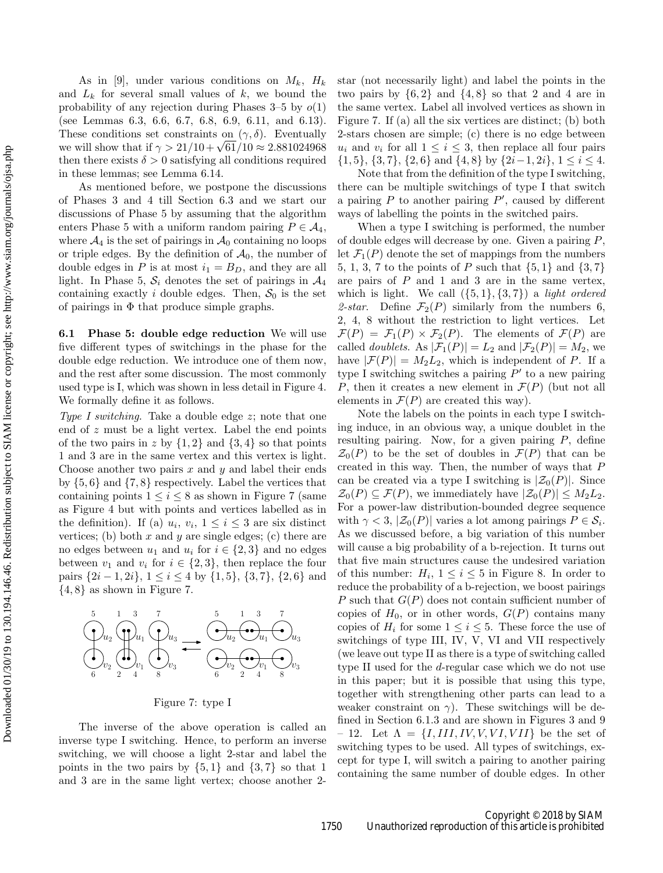As in [9], under various conditions on  $M_k$ ,  $H_k$ and  $L_k$  for several small values of k, we bound the probability of any rejection during Phases  $3-5$  by  $o(1)$ (see Lemmas 6.3, 6.6, 6.7, 6.8, 6.9, 6.11, and 6.13). These conditions set constraints on  $(\gamma, \delta)$ . Eventually we will show that if  $\gamma > 21/10 + \sqrt{61}/10 \approx 2.881024968$ then there exists  $\delta > 0$  satisfying all conditions required in these lemmas; see Lemma 6.14.

As mentioned before, we postpone the discussions of Phases 3 and 4 till Section 6.3 and we start our discussions of Phase 5 by assuming that the algorithm enters Phase 5 with a uniform random pairing  $P \in \mathcal{A}_4$ , where  $\mathcal{A}_4$  is the set of pairings in  $\mathcal{A}_0$  containing no loops or triple edges. By the definition of  $A_0$ , the number of double edges in P is at most  $i_1 = B_D$ , and they are all light. In Phase 5,  $S_i$  denotes the set of pairings in  $\mathcal{A}_4$ containing exactly i double edges. Then,  $S_0$  is the set of pairings in  $\Phi$  that produce simple graphs.

6.1 Phase 5: double edge reduction We will use five different types of switchings in the phase for the double edge reduction. We introduce one of them now, and the rest after some discussion. The most commonly used type is I, which was shown in less detail in Figure 4. We formally define it as follows.

Type I switching. Take a double edge z; note that one end of z must be a light vertex. Label the end points of the two pairs in z by  $\{1,2\}$  and  $\{3,4\}$  so that points 1 and 3 are in the same vertex and this vertex is light. Choose another two pairs  $x$  and  $y$  and label their ends by  $\{5,6\}$  and  $\{7,8\}$  respectively. Label the vertices that containing points  $1 \leq i \leq 8$  as shown in Figure 7 (same as Figure 4 but with points and vertices labelled as in the definition). If (a)  $u_i, v_i, 1 \leq i \leq 3$  are six distinct vertices; (b) both x and y are single edges; (c) there are no edges between  $u_1$  and  $u_i$  for  $i \in \{2,3\}$  and no edges between  $v_1$  and  $v_i$  for  $i \in \{2,3\}$ , then replace the four pairs  $\{2i-1, 2i\}$ ,  $1 \le i \le 4$  by  $\{1, 5\}$ ,  $\{3, 7\}$ ,  $\{2, 6\}$  and  $\{4, 8\}$  as shown in Figure 7.



Figure 7: type I

The inverse of the above operation is called an inverse type I switching. Hence, to perform an inverse switching, we will choose a light 2-star and label the points in the two pairs by  $\{5, 1\}$  and  $\{3, 7\}$  so that 1 and 3 are in the same light vertex; choose another 2star (not necessarily light) and label the points in the two pairs by  $\{6, 2\}$  and  $\{4, 8\}$  so that 2 and 4 are in the same vertex. Label all involved vertices as shown in Figure 7. If (a) all the six vertices are distinct; (b) both 2-stars chosen are simple; (c) there is no edge between  $u_i$  and  $v_i$  for all  $1 \leq i \leq 3$ , then replace all four pairs  $\{1, 5\}, \{3, 7\}, \{2, 6\} \text{ and } \{4, 8\} \text{ by } \{2i - 1, 2i\}, 1 \leq i \leq 4.$ 

Note that from the definition of the type I switching, there can be multiple switchings of type I that switch a pairing  $P$  to another pairing  $P'$ , caused by different ways of labelling the points in the switched pairs.

When a type I switching is performed, the number of double edges will decrease by one. Given a pairing  $P$ , let  $\mathcal{F}_1(P)$  denote the set of mappings from the numbers 5, 1, 3, 7 to the points of P such that  $\{5, 1\}$  and  $\{3, 7\}$ are pairs of  $P$  and  $1$  and  $3$  are in the same vertex, which is light. We call  $({5, 1}, {3, 7})$  a *light ordered* 2-star. Define  $\mathcal{F}_2(P)$  similarly from the numbers 6, 2, 4, 8 without the restriction to light vertices. Let  $\mathcal{F}(P) = \mathcal{F}_1(P) \times \mathcal{F}_2(P)$ . The elements of  $\mathcal{F}(P)$  are called *doublets*. As  $|\mathcal{F}_1(P)| = L_2$  and  $|\mathcal{F}_2(P)| = M_2$ , we have  $|\mathcal{F}(P)| = M_2L_2$ , which is independent of P. If a type I switching switches a pairing  $P'$  to a new pairing P, then it creates a new element in  $\mathcal{F}(P)$  (but not all elements in  $\mathcal{F}(P)$  are created this way).

Note the labels on the points in each type I switching induce, in an obvious way, a unique doublet in the resulting pairing. Now, for a given pairing  $P$ , define  $\mathcal{Z}_0(P)$  to be the set of doubles in  $\mathcal{F}(P)$  that can be created in this way. Then, the number of ways that P can be created via a type I switching is  $|\mathcal{Z}_0(P)|$ . Since  $\mathcal{Z}_0(P) \subseteq \mathcal{F}(P)$ , we immediately have  $|\mathcal{Z}_0(P)| \leq M_2L_2$ . For a power-law distribution-bounded degree sequence with  $\gamma < 3$ ,  $|\mathcal{Z}_0(P)|$  varies a lot among pairings  $P \in \mathcal{S}_i$ . As we discussed before, a big variation of this number will cause a big probability of a b-rejection. It turns out that five main structures cause the undesired variation of this number:  $H_i$ ,  $1 \leq i \leq 5$  in Figure 8. In order to reduce the probability of a b-rejection, we boost pairings P such that  $G(P)$  does not contain sufficient number of copies of  $H_0$ , or in other words,  $G(P)$  contains many copies of  $H_i$  for some  $1 \leq i \leq 5$ . These force the use of switchings of type III, IV, V, VI and VII respectively (we leave out type II as there is a type of switching called type II used for the d-regular case which we do not use in this paper; but it is possible that using this type, together with strengthening other parts can lead to a weaker constraint on  $\gamma$ ). These switchings will be defined in Section 6.1.3 and are shown in Figures 3 and 9 – 12. Let  $\Lambda = \{I, III, IV, V, VI, VII\}$  be the set of switching types to be used. All types of switchings, except for type I, will switch a pairing to another pairing containing the same number of double edges. In other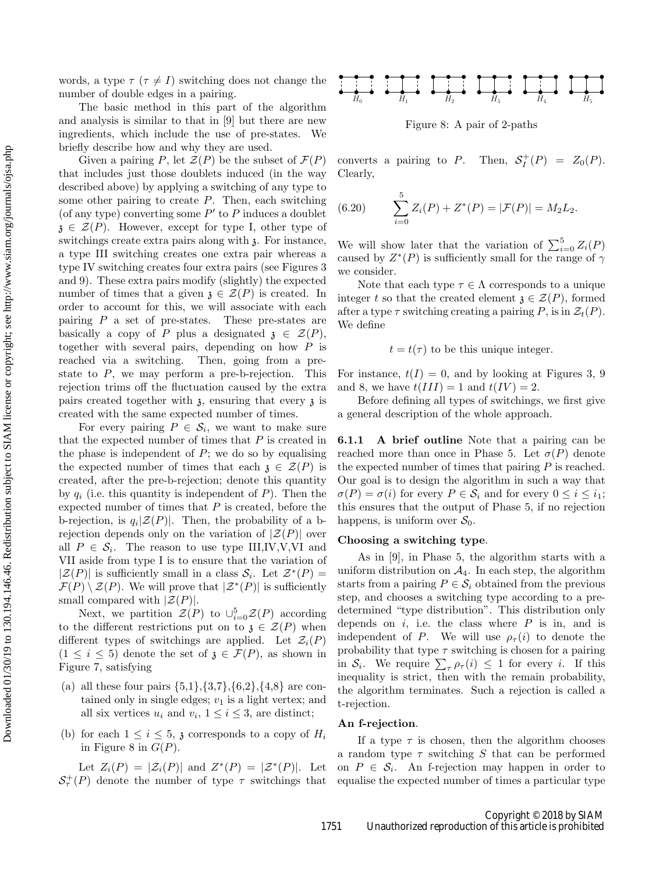words, a type  $\tau$  ( $\tau \neq I$ ) switching does not change the number of double edges in a pairing.

The basic method in this part of the algorithm and analysis is similar to that in [9] but there are new ingredients, which include the use of pre-states. We briefly describe how and why they are used.

Given a pairing P, let  $\mathcal{Z}(P)$  be the subset of  $\mathcal{F}(P)$ that includes just those doublets induced (in the way described above) by applying a switching of any type to some other pairing to create  $P$ . Then, each switching (of any type) converting some  $P'$  to  $P$  induces a doublet  $\mathfrak{z} \in \mathcal{Z}(P)$ . However, except for type I, other type of switchings create extra pairs along with  $\lambda$ . For instance, a type III switching creates one extra pair whereas a type IV switching creates four extra pairs (see Figures 3 and 9). These extra pairs modify (slightly) the expected number of times that a given  $\mathfrak{z} \in \mathcal{Z}(P)$  is created. In order to account for this, we will associate with each pairing P a set of pre-states. These pre-states are basically a copy of P plus a designated  $\mathfrak{z} \in \mathcal{Z}(P)$ , together with several pairs, depending on how P is reached via a switching. Then, going from a prestate to  $P$ , we may perform a pre-b-rejection. This rejection trims off the fluctuation caused by the extra pairs created together with  $\lambda$ , ensuring that every  $\lambda$  is created with the same expected number of times.

For every pairing  $P \in \mathcal{S}_i$ , we want to make sure that the expected number of times that  $P$  is created in the phase is independent of  $P$ ; we do so by equalising the expected number of times that each  $\mathfrak{z} \in \mathcal{Z}(P)$  is created, after the pre-b-rejection; denote this quantity by  $q_i$  (i.e. this quantity is independent of P). Then the expected number of times that  $P$  is created, before the b-rejection, is  $q_i|\mathcal{Z}(P)|$ . Then, the probability of a brejection depends only on the variation of  $|\mathcal{Z}(P)|$  over all  $P \in \mathcal{S}_i$ . The reason to use type III,IV,V,VI and VII aside from type I is to ensure that the variation of  $|\mathcal{Z}(P)|$  is sufficiently small in a class  $\mathcal{S}_i$ . Let  $\mathcal{Z}^*(P)$  =  $\mathcal{F}(P) \setminus \mathcal{Z}(P)$ . We will prove that  $|\mathcal{Z}^*(P)|$  is sufficiently small compared with  $|\mathcal{Z}(P)|$ .

Next, we partition  $\mathcal{Z}(P)$  to  $\cup_{i=0}^{5} \mathcal{Z}(P)$  according to the different restrictions put on to  $\mathfrak{z} \in \mathcal{Z}(P)$  when different types of switchings are applied. Let  $\mathcal{Z}_i(P)$  $(1 \leq i \leq 5)$  denote the set of  $\mathfrak{z} \in \mathcal{F}(P)$ , as shown in Figure 7, satisfying

- (a) all these four pairs  $\{5,1\}, \{3,7\}, \{6,2\}, \{4,8\}$  are contained only in single edges;  $v_1$  is a light vertex; and all six vertices  $u_i$  and  $v_i$ ,  $1 \le i \le 3$ , are distinct;
- (b) for each  $1 \leq i \leq 5$ ,  $\chi$  corresponds to a copy of  $H_i$ in Figure 8 in  $G(P)$ .

Let  $Z_i(P) = |\mathcal{Z}_i(P)|$  and  $Z^*(P) = |\mathcal{Z}^*(P)|$ . Let  $S_{\tau}^+(P)$  denote the number of type  $\tau$  switchings that



Figure 8: A pair of 2-paths

converts a pairing to P. Then,  $S_I^+(P) = Z_0(P)$ . Clearly,

(6.20) 
$$
\sum_{i=0}^{5} Z_i(P) + Z^*(P) = |\mathcal{F}(P)| = M_2 L_2.
$$

We will show later that the variation of  $\sum_{i=0}^{5} Z_i(P)$ caused by  $Z^*(P)$  is sufficiently small for the range of  $\gamma$ we consider.

Note that each type  $\tau \in \Lambda$  corresponds to a unique integer t so that the created element  $\mathfrak{z} \in \mathcal{Z}(P)$ , formed after a type  $\tau$  switching creating a pairing P, is in  $\mathcal{Z}_t(P)$ . We define

 $t = t(\tau)$  to be this unique integer.

For instance,  $t(I) = 0$ , and by looking at Figures 3, 9 and 8, we have  $t(III) = 1$  and  $t(IV) = 2$ .

Before defining all types of switchings, we first give a general description of the whole approach.

6.1.1 A brief outline Note that a pairing can be reached more than once in Phase 5. Let  $\sigma(P)$  denote the expected number of times that pairing  $P$  is reached. Our goal is to design the algorithm in such a way that  $\sigma(P) = \sigma(i)$  for every  $P \in \mathcal{S}_i$  and for every  $0 \leq i \leq i_1$ ; this ensures that the output of Phase 5, if no rejection happens, is uniform over  $S_0$ .

## Choosing a switching type.

As in [9], in Phase 5, the algorithm starts with a uniform distribution on  $\mathcal{A}_4$ . In each step, the algorithm starts from a pairing  $P \in \mathcal{S}_i$  obtained from the previous step, and chooses a switching type according to a predetermined "type distribution". This distribution only depends on  $i$ , i.e. the class where  $P$  is in, and is independent of P. We will use  $\rho_{\tau}(i)$  to denote the probability that type  $\tau$  switching is chosen for a pairing in  $S_i$ . We require  $\sum_{\tau} \rho_{\tau}(i) \leq 1$  for every *i*. If this inequality is strict, then with the remain probability, the algorithm terminates. Such a rejection is called a t-rejection.

### An f-rejection.

If a type  $\tau$  is chosen, then the algorithm chooses a random type  $\tau$  switching S that can be performed on  $P \in \mathcal{S}_i$ . An f-rejection may happen in order to equalise the expected number of times a particular type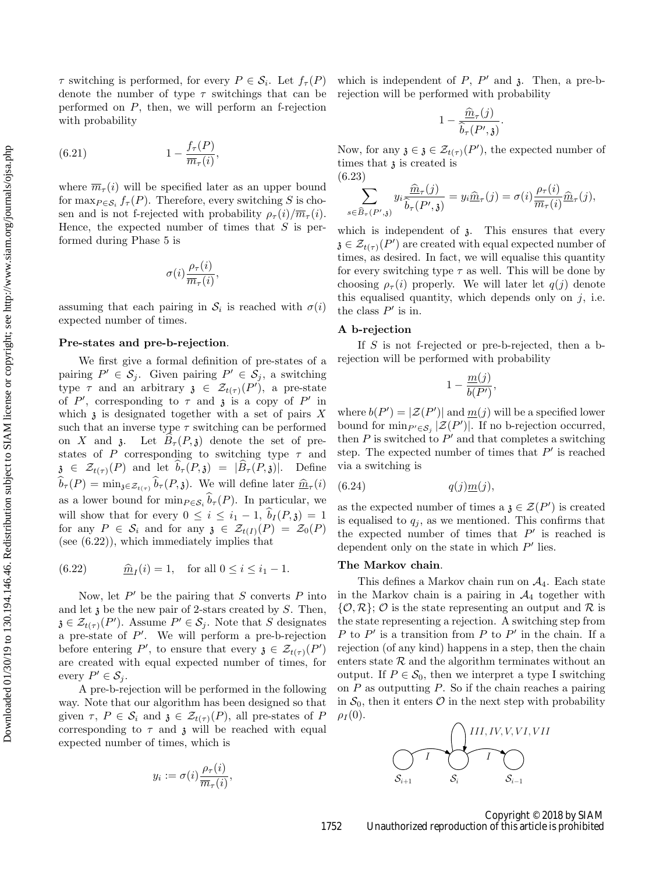$\tau$  switching is performed, for every  $P \in \mathcal{S}_i$ . Let  $f_{\tau}(P)$ denote the number of type  $\tau$  switchings that can be performed on P, then, we will perform an f-rejection with probability

(6.21) 
$$
1 - \frac{f_\tau(P)}{\overline{m}_\tau(i)},
$$

where  $\overline{m}_{\tau}(i)$  will be specified later as an upper bound for  $\max_{P \in \mathcal{S}_i} f_{\tau}(P)$ . Therefore, every switching S is chosen and is not f-rejected with probability  $\rho_{\tau}(i)/\overline{m}_{\tau}(i)$ . Hence, the expected number of times that  $S$  is performed during Phase 5 is

$$
\sigma(i)\frac{\rho_\tau(i)}{\overline{m}_\tau(i)},
$$

assuming that each pairing in  $S_i$  is reached with  $\sigma(i)$ expected number of times.

## Pre-states and pre-b-rejection.

We first give a formal definition of pre-states of a pairing  $P' \in \mathcal{S}_j$ . Given pairing  $P' \in \mathcal{S}_j$ , a switching type  $\tau$  and an arbitrary  $\mathfrak{z} \in \mathcal{Z}_{t(\tau)}(P')$ , a pre-state of P', corresponding to  $\tau$  and  $\mathfrak{z}$  is a copy of P' in which  $\mathfrak z$  is designated together with a set of pairs  $X$ such that an inverse type  $\tau$  switching can be performed on X and 3. Let  $B_\tau(P, \mathfrak{z})$  denote the set of prestates of P corresponding to switching type  $\tau$  and  $\mathfrak{z} \in \mathcal{Z}_{t(\tau)}(P)$  and let  $\widehat{b}_{\tau}(P,\mathfrak{z}) = |\widehat{B}_{\tau}(P,\mathfrak{z})|$ . Define  $b_{\tau}(P) = \min_{\mathfrak{z} \in \mathcal{Z}_{t(\tau)}} b_{\tau}(P, \mathfrak{z})$ . We will define later  $\widehat{m}_{\tau}(i)$ as a lower bound for  $\min_{P \in \mathcal{S}_i} b_\tau(P)$ . In particular, we will show that for every  $0 \leq i \leq i_1 - 1$ ,  $\hat{b}_I(P, \mathfrak{z}) = 1$ for any  $P \in \mathcal{S}_i$  and for any  $\mathfrak{z} \in \mathcal{Z}_{t(I)}(P) = \mathcal{Z}_0(P)$ (see (6.22)), which immediately implies that

(6.22) 
$$
\hat{m}_I(i) = 1
$$
, for all  $0 \le i \le i_1 - 1$ .

Now, let  $P'$  be the pairing that S converts P into and let  $\mathfrak z$  be the new pair of 2-stars created by  $S$ . Then,  $\mathfrak{z} \in \mathcal{Z}_{t(\tau)}(P')$ . Assume  $P' \in \mathcal{S}_j$ . Note that S designates a pre-state of  $P'$ . We will perform a pre-b-rejection before entering P', to ensure that every  $\mathfrak{z} \in \mathcal{Z}_{t(\tau)}(P')$ are created with equal expected number of times, for every  $P' \in \mathcal{S}_j$ .

A pre-b-rejection will be performed in the following way. Note that our algorithm has been designed so that given  $\tau$ ,  $P \in \mathcal{S}_i$  and  $\mathfrak{z} \in \mathcal{Z}_{t(\tau)}(P)$ , all pre-states of P corresponding to  $\tau$  and  $\chi$  will be reached with equal expected number of times, which is

$$
y_i := \sigma(i) \frac{\rho_\tau(i)}{\overline{m}_\tau(i)},
$$

which is independent of  $P$ ,  $P'$  and  $\lambda$ . Then, a pre-brejection will be performed with probability

$$
1-\frac{\widehat{m}_{\tau}(j)}{\widehat{b}_{\tau}(P',\mathfrak{z})}.
$$

Now, for any  $\mathfrak{z} \in \mathcal{Z}_{t(\tau)}(P')$ , the expected number of times that  $\lambda$  is created is (6.23)

$$
\sum_{s \in \widehat{B}_{\tau}(P',\mathfrak{z})} y_i \frac{\widehat{m}_{\tau}(j)}{\widehat{b}_{\tau}(P',\mathfrak{z})} = y_i \widehat{m}_{\tau}(j) = \sigma(i) \frac{\rho_{\tau}(i)}{\overline{m}_{\tau}(i)} \widehat{m}_{\tau}(j),
$$

which is independent of  $\delta$ . This ensures that every  $\mathfrak{z}\in\mathcal{Z}_{t(\tau)}(P')$  are created with equal expected number of times, as desired. In fact, we will equalise this quantity for every switching type  $\tau$  as well. This will be done by choosing  $\rho_{\tau}(i)$  properly. We will later let  $q(j)$  denote this equalised quantity, which depends only on  $j$ , i.e. the class  $P'$  is in.

#### A b-rejection

If S is not f-rejected or pre-b-rejected, then a brejection will be performed with probability

$$
1-\frac{m(j)}{b(P')},
$$

where  $b(P') = |\mathcal{Z}(P')|$  and  $\underline{m}(j)$  will be a specified lower bound for  $\min_{P' \in \mathcal{S}_j} |\mathcal{Z}(P')|$ . If no b-rejection occurred, then  $P$  is switched to  $P'$  and that completes a switching step. The expected number of times that  $P'$  is reached via a switching is

$$
(6.24) \t\t q(j)\underline{m}(j),
$$

as the expected number of times a  $\mathfrak{z} \in \mathcal{Z}(P')$  is created is equalised to  $q_i$ , as we mentioned. This confirms that the expected number of times that  $P'$  is reached is dependent only on the state in which  $P'$  lies.

## The Markov chain.

This defines a Markov chain run on  $A_4$ . Each state in the Markov chain is a pairing in  $\mathcal{A}_4$  together with  $\{\mathcal{O},\mathcal{R}\};\mathcal{O}$  is the state representing an output and  $\mathcal{R}$  is the state representing a rejection. A switching step from P to  $P'$  is a transition from P to P' in the chain. If a rejection (of any kind) happens in a step, then the chain enters state  $R$  and the algorithm terminates without an output. If  $P \in \mathcal{S}_0$ , then we interpret a type I switching on  $P$  as outputting  $P$ . So if the chain reaches a pairing in  $S_0$ , then it enters  $\mathcal O$  in the next step with probability  $\rho_I (0)$ .

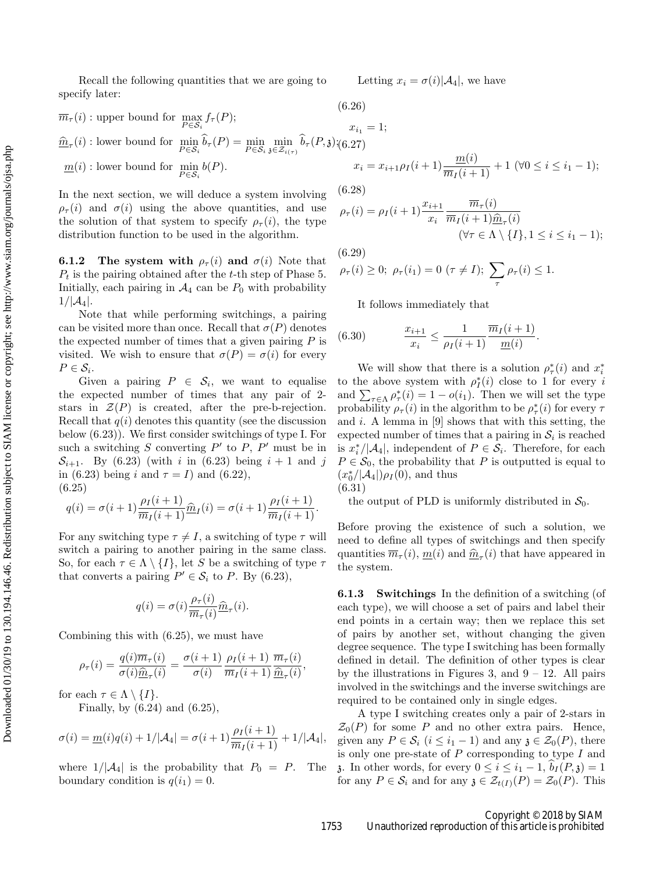Recall the following quantities that we are going to specify later:

Letting  $x_i = \sigma(i)|A_4|$ , we have

$$
\overline{m}_{\tau}(i): \text{ upper bound for } \max_{P \in \mathcal{S}_i} f_{\tau}(P); \qquad (0.20)
$$
\n
$$
\hat{m}_{\tau}(i): \text{lower bound for } \min_{P \in \mathcal{S}_i} \hat{b}_{\tau}(P) = \min_{P \in \mathcal{S}_i} \min_{\mathfrak{z} \in \mathcal{Z}_{i(\tau)}} \hat{b}_{\tau}(P, \mathfrak{z}) \times (6.27)
$$
\n
$$
\underline{m}(i): \text{lower bound for } \min_{P \in \mathcal{S}_i} b(P). \qquad x_i
$$

In the next section, we will deduce a system involving  $\rho_{\tau}(i)$  and  $\sigma(i)$  using the above quantities, and use the solution of that system to specify  $\rho_{\tau}(i)$ , the type distribution function to be used in the algorithm.

**6.1.2** The system with  $\rho_{\tau}(i)$  and  $\sigma(i)$  Note that  $P_t$  is the pairing obtained after the t-th step of Phase 5. Initially, each pairing in  $A_4$  can be  $P_0$  with probability  $1/|\mathcal{A}_4|.$ 

Note that while performing switchings, a pairing can be visited more than once. Recall that  $\sigma(P)$  denotes the expected number of times that a given pairing  $P$  is visited. We wish to ensure that  $\sigma(P) = \sigma(i)$  for every  $P \in \mathcal{S}_i$ .

Given a pairing  $P \in \mathcal{S}_i$ , we want to equalise the expected number of times that any pair of 2 stars in  $\mathcal{Z}(P)$  is created, after the pre-b-rejection. Recall that  $q(i)$  denotes this quantity (see the discussion below (6.23)). We first consider switchings of type I. For such a switching  $S$  converting  $P'$  to  $P$ ,  $P'$  must be in  $\mathcal{S}_{i+1}$ . By (6.23) (with i in (6.23) being  $i+1$  and j in (6.23) being i and  $\tau = I$ ) and (6.22), (6.25)

$$
q(i) = \sigma(i+1)\frac{\rho_I(i+1)}{\overline m_I(i+1)}\hat m_I(i) = \sigma(i+1)\frac{\rho_I(i+1)}{\overline m_I(i+1)}.
$$

For any switching type  $\tau \neq I$ , a switching of type  $\tau$  will switch a pairing to another pairing in the same class. So, for each  $\tau \in \Lambda \setminus \{I\}$ , let S be a switching of type  $\tau$ that converts a pairing  $P' \in \mathcal{S}_i$  to P. By (6.23),

$$
q(i) = \sigma(i) \frac{\rho_{\tau}(i)}{\overline{m}_{\tau}(i)} \hat{\underline{m}}_{\tau}(i).
$$

Combining this with (6.25), we must have

$$
\rho_{\tau}(i) = \frac{q(i)\overline{m}_{\tau}(i)}{\sigma(i)\underline{\hat{m}}_{\tau}(i)} = \frac{\sigma(i+1)}{\sigma(i)}\frac{\rho_{I}(i+1)}{\overline{m}_{I}(i+1)}\frac{\overline{m}_{\tau}(i)}{\underline{\hat{m}}_{\tau}(i)},
$$

for each  $\tau \in \Lambda \setminus \{I\}.$ 

Finally, by  $(6.24)$  and  $(6.25)$ ,

$$
\sigma(i) = \underline{m}(i)q(i) + 1/|\mathcal{A}_4| = \sigma(i+1)\frac{\rho_I(i+1)}{\overline{m}_I(i+1)} + 1/|\mathcal{A}_4|,
$$

where  $1/|\mathcal{A}_4|$  is the probability that  $P_0 = P$ . The boundary condition is  $q(i_1) = 0$ .

$$
(6.26)
$$

 $= 1$ ;  $x_i = x_{i+1}\rho_I(i+1)\frac{m(i)}{\overline{m}_I(i+1)} + 1 \ (\forall 0 \leq i \leq i_1 - 1);$ 

(6.28)

$$
\rho_{\tau}(i) = \rho_I(i+1) \frac{x_{i+1}}{x_i} \frac{\overline{m}_{\tau}(i)}{\overline{m}_I(i+1)\hat{\underline{m}}_{\tau}(i)}
$$

$$
(\forall \tau \in \Lambda \setminus \{I\}, 1 \le i \le i_1 - 1);
$$

(6.29)

$$
\rho_{\tau}(i) \geq 0; \ \rho_{\tau}(i_1) = 0 \ (\tau \neq I); \ \sum_{\tau} \rho_{\tau}(i) \leq 1.
$$

It follows immediately that

(6.30) 
$$
\frac{x_{i+1}}{x_i} \leq \frac{1}{\rho_I(i+1)} \frac{\overline{m}_I(i+1)}{m_I(i)}.
$$

We will show that there is a solution  $\rho^*_{\tau}(i)$  and  $x^*_{i}$ to the above system with  $\rho_I^*(i)$  close to 1 for every i and  $\sum_{\tau \in \Lambda} \rho_{\tau}^*(i) = 1 - o(i_1)$ . Then we will set the type probability  $\rho_{\tau}(i)$  in the algorithm to be  $\rho_{\tau}^*(i)$  for every  $\tau$ and  $i$ . A lemma in [9] shows that with this setting, the expected number of times that a pairing in  $S_i$  is reached is  $x_i^*/|\mathcal{A}_4|$ , independent of  $P \in \mathcal{S}_i$ . Therefore, for each  $P \in \mathcal{S}_0$ , the probability that P is outputted is equal to  $(x_0^*/|\mathcal{A}_4|)\rho_I(0)$ , and thus

(6.31)

the output of PLD is uniformly distributed in  $S_0$ .

Before proving the existence of such a solution, we need to define all types of switchings and then specify quantities  $\overline{m}_{\tau}(i)$ ,  $\underline{m}(i)$  and  $\underline{\hat{m}}_{\tau}(i)$  that have appeared in the system.

6.1.3 Switchings In the definition of a switching (of each type), we will choose a set of pairs and label their end points in a certain way; then we replace this set of pairs by another set, without changing the given degree sequence. The type I switching has been formally defined in detail. The definition of other types is clear by the illustrations in Figures 3, and  $9 - 12$ . All pairs involved in the switchings and the inverse switchings are required to be contained only in single edges.

A type I switching creates only a pair of 2-stars in  $\mathcal{Z}_0(P)$  for some P and no other extra pairs. Hence, given any  $P \in \mathcal{S}_i$   $(i \leq i_1 - 1)$  and any  $\mathfrak{z} \in \mathcal{Z}_0(P)$ , there is only one pre-state of  $P$  corresponding to type  $I$  and 3. In other words, for every  $0 \le i \le i_1 - 1$ ,  $b_I(P, \mathfrak{z}) = 1$ for any  $P \in \mathcal{S}_i$  and for any  $\mathfrak{z} \in \mathcal{Z}_{t(I)}(P) = \mathcal{Z}_0(P)$ . This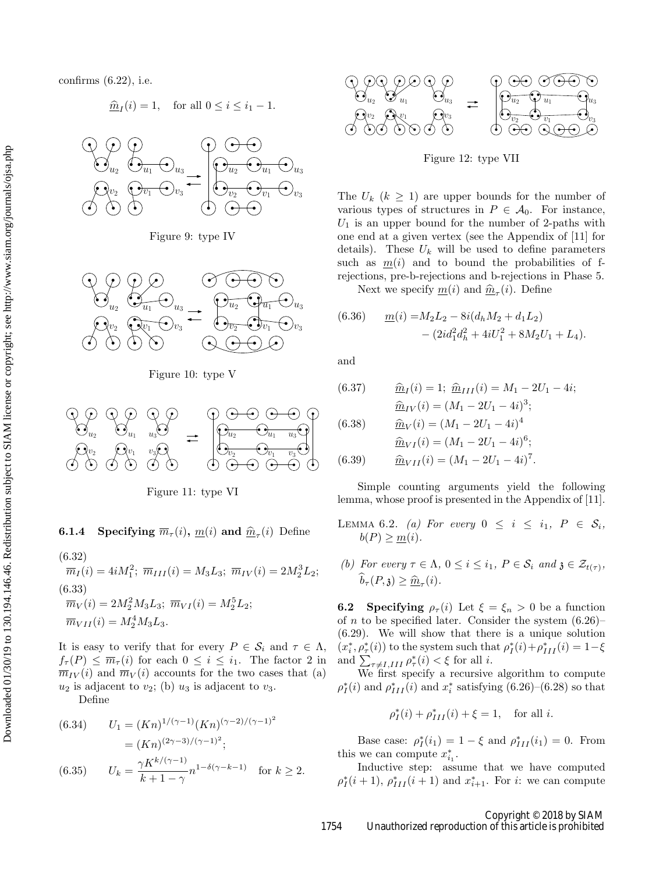confirms (6.22), i.e.

$$
\underline{\widehat{m}}_I(i) = 1, \quad \text{for all } 0 \le i \le i_1 - 1.
$$



Figure 9: type IV



Figure 10: type V



Figure 11: type VI

# **6.1.4** Specifying  $\overline{m}_{\tau}(i)$ ,  $\underline{m}(i)$  and  $\underline{\hat{m}}_{\tau}(i)$  Define

(6.32)  
\n
$$
\overline{m}_I(i) = 4iM_1^2; \ \overline{m}_{III}(i) = M_3L_3; \ \overline{m}_{IV}(i) = 2M_2^3L_2;
$$
  
\n(6.33)  
\n $\overline{m}_V(i) = 2M_2^2M_3L_3; \ \overline{m}_{VI}(i) = M_2^5L_2;$   
\n $\overline{m}_{VII}(i) = M_2^4M_3L_3.$ 

It is easy to verify that for every  $P \in \mathcal{S}_i$  and  $\tau \in \Lambda$ ,  $f_{\tau}(P) \leq \overline{m}_{\tau}(i)$  for each  $0 \leq i \leq i_1$ . The factor 2 in  $\overline{m}_{IV}(i)$  and  $\overline{m}_{V}(i)$  accounts for the two cases that (a)  $u_2$  is adjacent to  $v_2$ ; (b)  $u_3$  is adjacent to  $v_3$ .

Define

(6.34) 
$$
U_1 = (Kn)^{1/(\gamma - 1)} (Kn)^{(\gamma - 2)/(\gamma - 1)^2}
$$

$$
= (Kn)^{(2\gamma - 3)/(\gamma - 1)^2};
$$

$$
(6.35) \qquad U_k = \frac{\gamma K^{k/(\gamma - 1)}}{k + 1 - \gamma} n^{1 - \delta(\gamma - k - 1)} \quad \text{for } k \ge 2.
$$



Figure 12: type VII

The  $U_k$   $(k \geq 1)$  are upper bounds for the number of various types of structures in  $P \in \mathcal{A}_0$ . For instance,  $U_1$  is an upper bound for the number of 2-paths with one end at a given vertex (see the Appendix of [11] for details). These  $U_k$  will be used to define parameters such as  $m(i)$  and to bound the probabilities of frejections, pre-b-rejections and b-rejections in Phase 5.

Next we specify  $\underline{m}(i)$  and  $\underline{\hat{m}}_{\tau}(i)$ . Define

(6.36) 
$$
\underline{m}(i) = M_2 L_2 - 8i(d_h M_2 + d_1 L_2) - (2i d_1^2 d_h^2 + 4i U_1^2 + 8M_2 U_1 + L_4).
$$

and

(6.37) 
$$
\hat{m}_I(i) = 1; \ \hat{m}_{III}(i) = M_1 - 2U_1 - 4i; \n\hat{m}_{IV}(i) = (M_1 - 2U_1 - 4i)^3;
$$

(6.38) 
$$
\hat{m}_V(i) = (M_1 - 2U_1 - 4i)^4
$$

$$
\hat{m}_{VI}(i) = (M_1 - 2U_1 - 4i)^6;
$$

$$
(6.39) \qquad \hat{m}_{VII}(i) = (M_1 - 2U_1 - 4i)^7.
$$

Simple counting arguments yield the following lemma, whose proof is presented in the Appendix of 
$$
[11]
$$
.

- LEMMA 6.2. (a) For every  $0 \leq i \leq i_1, P \in S_i$ ,  $b(P) \geq m(i)$ .
- (b) For every  $\tau \in \Lambda$ ,  $0 \leq i \leq i_1$ ,  $P \in \mathcal{S}_i$  and  $\mathfrak{z} \in \mathcal{Z}_{t(\tau)}$ ,  $b_\tau(P, \mathfrak{z}) \geq \underline{\widehat{m}}_\tau(i).$

**6.2** Specifying  $\rho_{\tau}(i)$  Let  $\xi = \xi_n > 0$  be a function of *n* to be specified later. Consider the system  $(6.26)$ (6.29). We will show that there is a unique solution  $(x_i^*, \rho_\tau^*(i))$  to the system such that  $\rho_I^*(i) + \rho_{III}^*(i) = 1 - \xi$ and  $\sum_{\tau \neq I, III} \rho_{\tau}^*(i) < \xi$  for all *i*.

We first specify a recursive algorithm to compute  $\rho_I^*(i)$  and  $\rho_{III}^*(i)$  and  $x_i^*$  satisfying (6.26)–(6.28) so that

$$
\rho_I^*(i) + \rho_{III}^*(i) + \xi = 1
$$
, for all *i*.

Base case:  $\rho_I^*(i_1) = 1 - \xi$  and  $\rho_{III}^*(i_1) = 0$ . From this we can compute  $x_{i_1}^*$ .

Inductive step: assume that we have computed  $\rho_I^*(i+1)$ ,  $\rho_{III}^*(i+1)$  and  $x_{i+1}^*$ . For *i*: we can compute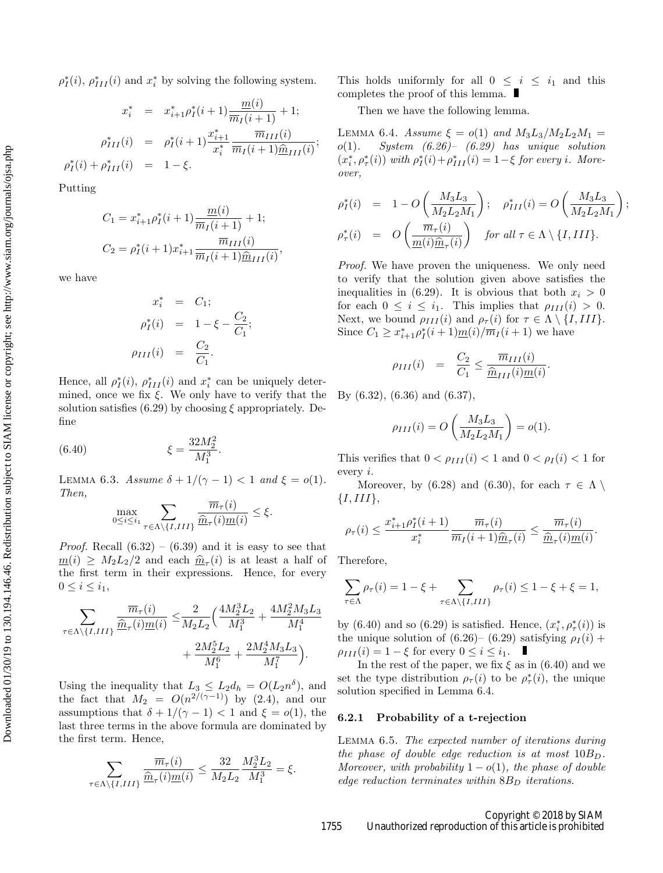$\rho_I^*(i)$ ,  $\rho_{III}^*(i)$  and  $x_i^*$  by solving the following system.

$$
x_i^* = x_{i+1}^* \rho_I^*(i+1) \frac{m(i)}{\overline{m}_I(i+1)} + 1;
$$
  
\n
$$
\rho_{III}^*(i) = \rho_I^*(i+1) \frac{x_{i+1}^*}{x_i^*} \frac{\overline{m}_{III}(i)}{\overline{m}_I(i+1) \hat{m}_{III}(i)};
$$
  
\n
$$
\rho_I^*(i) + \rho_{III}^*(i) = 1 - \xi.
$$

Putting

$$
C_1 = x_{i+1}^* \rho_I^*(i+1) \frac{m(i)}{\overline{m}_I(i+1)} + 1;
$$
  
\n
$$
C_2 = \rho_I^*(i+1) x_{i+1}^* \frac{\overline{m}_{III}(i)}{\overline{m}_I(i+1)\hat{m}_{III}(i)},
$$

we have

$$
x_i^* = C_1;
$$
  
\n
$$
\rho_I^*(i) = 1 - \xi - \frac{C_2}{C_1};
$$
  
\n
$$
\rho_{III}(i) = \frac{C_2}{C_1}.
$$

Hence, all  $\rho_I^*(i)$ ,  $\rho_{III}^*(i)$  and  $x_i^*$  can be uniquely determined, once we fix  $\xi$ . We only have to verify that the solution satisfies (6.29) by choosing  $\xi$  appropriately. Define

(6.40) 
$$
\xi = \frac{32M_2^2}{M_1^3}.
$$

LEMMA 6.3. Assume  $\delta + 1/(\gamma - 1) < 1$  and  $\xi = o(1)$ . Then,

$$
\max_{0 \le i \le i_1} \sum_{\tau \in \Lambda \setminus \{I,III\}} \frac{\overline{m}_{\tau}(i)}{\widehat{m}_{\tau}(i)m(i)} \le \xi.
$$

*Proof.* Recall  $(6.32) - (6.39)$  and it is easy to see that  $\underline{m}(i) \geq M_2 L_2 / 2$  and each  $\widehat{m}_{\tau}(i)$  is at least a half of<br>the first term in their expressions. Hence for every the first term in their expressions. Hence, for every  $0 \leq i \leq i_1$ ,

$$
\sum_{\tau \in \Lambda \setminus \{I,III\}} \frac{\overline{m}_{\tau}(i)}{\hat{m}_{\tau}(i) \underline{m}(i)} \leq \frac{2}{M_2 L_2} \Big( \frac{4M_2^3 L_2}{M_1^3} + \frac{4M_2^2 M_3 L_3}{M_1^4} + \frac{2M_2^5 L_2}{M_1^6} + \frac{2M_2^4 M_3 L_3}{M_1^7} \Big).
$$

Using the inequality that  $L_3 \leq L_2 d_h = O(L_2 n^{\delta})$ , and the fact that  $M_2 = O(n^{2/(\gamma-1)})$  by (2.4), and our assumptions that  $\delta + 1/(\gamma - 1) < 1$  and  $\xi = o(1)$ , the last three terms in the above formula are dominated by the first term. Hence,

$$
\sum_{\tau \in \Lambda \setminus \{I,III\}} \frac{\overline{m}_{\tau}(i)}{\underline{\widehat{m}}_{\tau}(i)\underline{m}(i)} \le \frac{32}{M_2 L_2} \frac{M_2^3 L_2}{M_1^3} = \xi.
$$

This holds uniformly for all  $0 \leq i \leq i_1$  and this completes the proof of this lemma.

Then we have the following lemma.

LEMMA 6.4. Assume  $\xi = o(1)$  and  $M_3L_3/M_2L_2M_1 =$  $o(1)$ . System  $(6.26)$ –  $(6.29)$  has unique solution  $(x_i^*, \rho_\tau^*(i))$  with  $\rho_I^*(i) + \rho_{III}^*(i) = 1 - \xi$  for every i. Moreover,

$$
\rho_I^*(i) = 1 - O\left(\frac{M_3 L_3}{M_2 L_2 M_1}\right); \quad \rho_{III}^*(i) = O\left(\frac{M_3 L_3}{M_2 L_2 M_1}\right);
$$
  

$$
\rho_\tau^*(i) = O\left(\frac{\overline{m}_\tau(i)}{\underline{m}(i)\hat{m}_\tau(i)}\right) \quad \text{for all } \tau \in \Lambda \setminus \{I, III\}.
$$

Proof. We have proven the uniqueness. We only need to verify that the solution given above satisfies the inequalities in (6.29). It is obvious that both  $x_i > 0$ for each  $0 \leq i \leq i_1$ . This implies that  $\rho_{III}(i) > 0$ . Next, we bound  $\rho_{III}(i)$  and  $\rho_{\tau}(i)$  for  $\tau \in \Lambda \setminus \{I, III\}.$ Since  $C_1 \ge x_{i+1}^* \rho_I^* (i+1) \underline{m}(i) / \overline{m}_I (i+1)$  we have

$$
\rho_{III}(i) = \frac{C_2}{C_1} \le \frac{\overline{m}_{III}(i)}{\underline{\widehat{m}}_{III}(i)\underline{m}(i)}.
$$

By (6.32), (6.36) and (6.37),

$$
\rho_{III}(i) = O\left(\frac{M_3 L_3}{M_2 L_2 M_1}\right) = o(1).
$$

This verifies that  $0 < \rho_{III}(i) < 1$  and  $0 < \rho_I(i) < 1$  for every i.

Moreover, by (6.28) and (6.30), for each  $\tau \in \Lambda \setminus$  $\{I,III\},\$ 

$$
\rho_{\tau}(i) \le \frac{x_{i+1}^* \rho_I^*(i+1)}{x_i^*} \frac{\overline{m}_{\tau}(i)}{\overline{m}_I(i+1)\underline{\hat{m}}_{\tau}(i)} \le \frac{\overline{m}_{\tau}(i)}{\underline{\hat{m}}_{\tau}(i)\underline{m}(i)}
$$

.

Therefore,

$$
\sum_{\tau \in \Lambda} \rho_{\tau}(i) = 1 - \xi + \sum_{\tau \in \Lambda \setminus \{I, III\}} \rho_{\tau}(i) \le 1 - \xi + \xi = 1,
$$

by (6.40) and so (6.29) is satisfied. Hence,  $(x_i^*, \rho_\tau^*(i))$  is the unique solution of (6.26)– (6.29) satisfying  $\rho_I(i)$  +  $\rho_{III}(i) = 1 - \xi$  for every  $0 \leq i \leq i_1$ .

In the rest of the paper, we fix  $\xi$  as in (6.40) and we set the type distribution  $\rho_{\tau}(i)$  to be  $\rho_{\tau}^{*}(i)$ , the unique solution specified in Lemma 6.4.

# 6.2.1 Probability of a t-rejection

Lemma 6.5. The expected number of iterations during the phase of double edge reduction is at most  $10B_D$ . Moreover, with probability  $1 - o(1)$ , the phase of double edge reduction terminates within  $8B<sub>D</sub>$  iterations.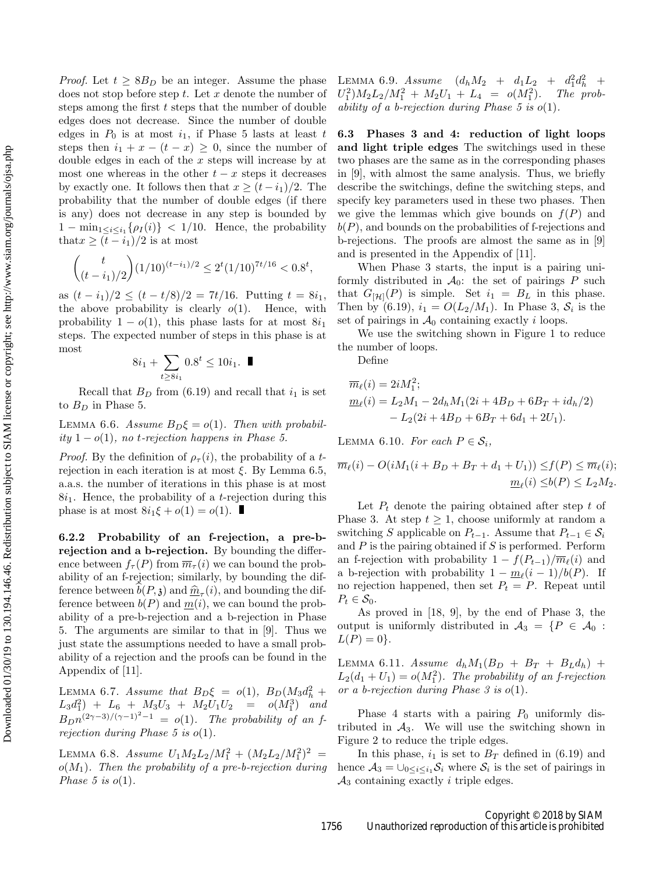*Proof.* Let  $t \geq 8B_D$  be an integer. Assume the phase does not stop before step  $t$ . Let  $x$  denote the number of steps among the first  $t$  steps that the number of double edges does not decrease. Since the number of double edges in  $P_0$  is at most  $i_1$ , if Phase 5 lasts at least  $t$ steps then  $i_1 + x - (t - x) \geq 0$ , since the number of double edges in each of the x steps will increase by at most one whereas in the other  $t - x$  steps it decreases by exactly one. It follows then that  $x \ge (t - i_1)/2$ . The probability that the number of double edges (if there is any) does not decrease in any step is bounded by  $1 - \min_{1 \leq i \leq i_1} {\rho_I(i)} < 1/10$ . Hence, the probability that  $x \ge (t - i_1)/2$  is at most

$$
\binom{t}{(t-i_1)/2} (1/10)^{(t-i_1)/2} \le 2^t (1/10)^{7t/16} < 0.8^t,
$$

as  $(t - i<sub>1</sub>)/2 \le (t - t/8)/2 = 7t/16$ . Putting  $t = 8i<sub>1</sub>$ , the above probability is clearly  $o(1)$ . Hence, with probability  $1 - o(1)$ , this phase lasts for at most  $8i_1$ steps. The expected number of steps in this phase is at most

$$
8i_1 + \sum_{t \ge 8i_1} 0.8^t \le 10i_1. \quad \blacksquare
$$

Recall that  $B_D$  from (6.19) and recall that  $i_1$  is set to  $B_D$  in Phase 5.

LEMMA 6.6. Assume  $B_D \xi = o(1)$ . Then with probabil*ity* 1 −  $o(1)$ , no *t*-rejection happens in Phase 5.

*Proof.* By the definition of  $\rho_{\tau}(i)$ , the probability of a trejection in each iteration is at most  $\xi$ . By Lemma 6.5, a.a.s. the number of iterations in this phase is at most  $8i<sub>1</sub>$ . Hence, the probability of a *t*-rejection during this phase is at most  $8i_1\xi + o(1) = o(1)$ .

6.2.2 Probability of an f-rejection, a pre-brejection and a b-rejection. By bounding the difference between  $f_{\tau}(P)$  from  $\overline{m}_{\tau}(i)$  we can bound the probability of an f-rejection; similarly, by bounding the difference between  $b(P, \mathfrak{z})$  and  $\hat{m}_{\tau}(i)$ , and bounding the dif-<br>ference between  $b(P)$  and  $m(i)$ , we can bound the probference between  $b(P)$  and  $\underline{m}(i)$ , we can bound the probability of a pre-b-rejection and a b-rejection in Phase 5. The arguments are similar to that in [9]. Thus we just state the assumptions needed to have a small probability of a rejection and the proofs can be found in the Appendix of [11].

LEMMA 6.7. Assume that  $B_D \xi = o(1)$ ,  $B_D (M_3 d_h^2 +$  $L_3d_1^2$  +  $L_6$  +  $M_3U_3$  +  $M_2U_1U_2$  =  $o(M_1^3)$  and  $B_D n^{(2\gamma-3)/(\gamma-1)^2-1} = o(1)$ . The probability of an frejection during Phase 5 is  $o(1)$ .

LEMMA 6.8. Assume  $U_1M_2L_2/M_1^2 + (M_2L_2/M_1^2)^2$  =  $o(M_1)$ . Then the probability of a pre-b-rejection during Phase 5 is  $o(1)$ .

LEMMA 6.9. Assume  $(d_h M_2 + d_1 L_2 + d_1^2 d_h^2 +$  $U_1^2$ ) $M_2L_2/M_1^2 + M_2U_1 + L_4 = o(M_1^2)$ ). The probability of a b-rejection during Phase 5 is  $o(1)$ .

6.3 Phases 3 and 4: reduction of light loops and light triple edges The switchings used in these two phases are the same as in the corresponding phases in [9], with almost the same analysis. Thus, we briefly describe the switchings, define the switching steps, and specify key parameters used in these two phases. Then we give the lemmas which give bounds on  $f(P)$  and  $b(P)$ , and bounds on the probabilities of f-rejections and b-rejections. The proofs are almost the same as in [9] and is presented in the Appendix of [11].

When Phase 3 starts, the input is a pairing uniformly distributed in  $\mathcal{A}_0$ : the set of pairings P such that  $G_{\lbrack H \rbrack}(P)$  is simple. Set  $i_1 = B_L$  in this phase. Then by (6.19),  $i_1 = O(L_2/M_1)$ . In Phase 3,  $S_i$  is the set of pairings in  $\mathcal{A}_0$  containing exactly *i* loops.

We use the switching shown in Figure 1 to reduce the number of loops.

Define

$$
\overline{m}_{\ell}(i) = 2iM_1^2;
$$
  
\n
$$
\underline{m}_{\ell}(i) = L_2M_1 - 2d_hM_1(2i + 4B_D + 6B_T + id_h/2)
$$
  
\n
$$
- L_2(2i + 4B_D + 6B_T + 6d_1 + 2U_1).
$$

LEMMA 6.10. For each  $P \in S_i$ ,

$$
\overline{m}_{\ell}(i) - O(iM_1(i + B_D + B_T + d_1 + U_1)) \le f(P) \le \overline{m}_{\ell}(i);
$$
  

$$
\underline{m}_{\ell}(i) \le b(P) \le L_2M_2.
$$

Let  $P_t$  denote the pairing obtained after step t of Phase 3. At step  $t \geq 1$ , choose uniformly at random a switching S applicable on  $P_{t-1}$ . Assume that  $P_{t-1} \in \mathcal{S}_i$ and  $P$  is the pairing obtained if  $S$  is performed. Perform an f-rejection with probability  $1 - f(P_{t-1})/\overline{m}_{\ell}(i)$  and a b-rejection with probability  $1 - \underline{m}_{\ell}(\underline{i} - 1)/b(P)$ . If no rejection happened, then set  $P_t = P$ . Repeat until  $P_t \in \mathcal{S}_0$ .

As proved in [18, 9], by the end of Phase 3, the output is uniformly distributed in  $A_3 = \{P \in A_0 :$  $L(P) = 0$ .

LEMMA 6.11. Assume  $d_h M_1(B_D + B_T + B_L d_h) +$  $L_2(d_1+U_1)=o(M_1^2)$ . The probability of an f-rejection or a b-rejection during Phase  $\beta$  is  $o(1)$ .

Phase 4 starts with a pairing  $P_0$  uniformly distributed in  $A_3$ . We will use the switching shown in Figure 2 to reduce the triple edges.

In this phase,  $i_1$  is set to  $B_T$  defined in (6.19) and hence  $A_3 = \bigcup_{0 \leq i \leq i_1} S_i$  where  $S_i$  is the set of pairings in  $A_3$  containing exactly *i* triple edges.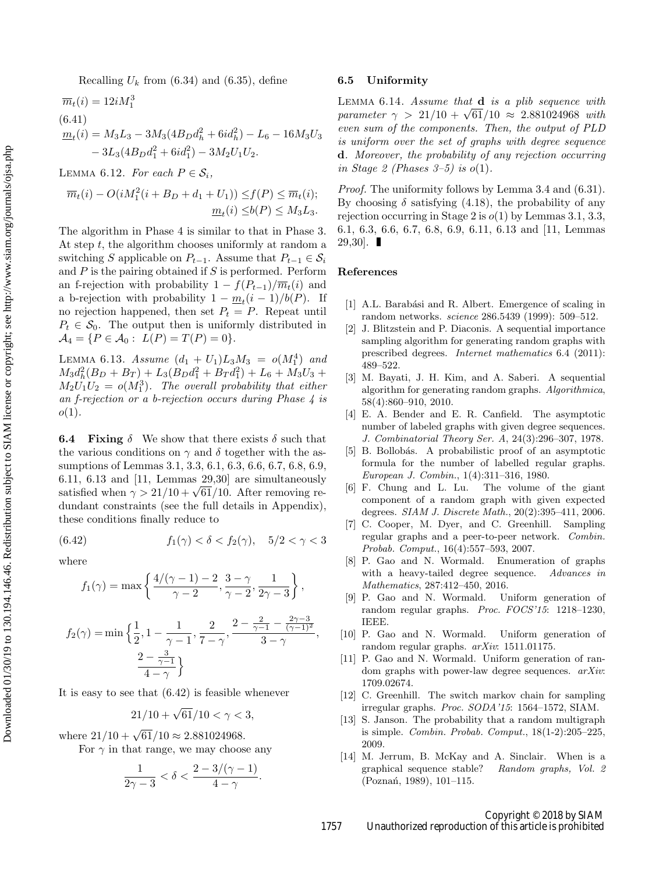$$
\overline{m}_t(i) = 12iM_1^3
$$
  
(6.41)  

$$
\underline{m}_t(i) = M_3L_3 - 3M_3(4B_Dd_h^2 + 6id_h^2) - L_6 - 16M_3U_3
$$

$$
- 3L_3(4B_Dd_1^2 + 6id_1^2) - 3M_2U_1U_2.
$$

LEMMA 6.12. For each  $P \in S_i$ ,

$$
\overline{m}_t(i) - O(iM_1^2(i + B_D + d_1 + U_1)) \le f(P) \le \overline{m}_t(i);
$$
  

$$
\underline{m}_t(i) \le b(P) \le M_3L_3.
$$

The algorithm in Phase 4 is similar to that in Phase 3. At step  $t$ , the algorithm chooses uniformly at random a switching S applicable on  $P_{t-1}$ . Assume that  $P_{t-1} \in \mathcal{S}_i$ and  $P$  is the pairing obtained if  $S$  is performed. Perform an f-rejection with probability  $1 - f(P_{t-1})/\overline{m}_t(i)$  and a b-rejection with probability  $1 - \underline{m}_t(i-1)/b(P)$ . If no rejection happened, then set  $P_t = P$ . Repeat until  $P_t \in \mathcal{S}_0$ . The output then is uniformly distributed in  $\mathcal{A}_4 = \{ P \in \mathcal{A}_0 : L(P) = T(P) = 0 \}.$ 

LEMMA 6.13. Assume  $(d_1 + U_1)L_3M_3 = o(M_1^4)$  and  $M_3d_h^2(B_D + B_T) + L_3(B_Dd_1^2 + B_Td_1^2) + L_6 + M_3U_3 +$  $M_2U_1U_2 = o(M_1^3)$ . The overall probability that either an f-rejection or a b-rejection occurs during Phase 4 is  $o(1)$ .

**6.4** Fixing  $\delta$  We show that there exists  $\delta$  such that the various conditions on  $\gamma$  and  $\delta$  together with the assumptions of Lemmas 3.1, 3.3, 6.1, 6.3, 6.6, 6.7, 6.8, 6.9, 6.11, 6.13 and [11, Lemmas 29,30] are simultaneously satisfied when  $\gamma > 21/10 + \sqrt{61}/10$ . After removing redundant constraints (see the full details in Appendix), these conditions finally reduce to

(6.42) 
$$
f_1(\gamma) < \delta < f_2(\gamma), \quad 5/2 < \gamma < 3
$$

where

$$
f_1(\gamma) = \max\left\{\frac{4/(\gamma - 1) - 2}{\gamma - 2}, \frac{3 - \gamma}{\gamma - 2}, \frac{1}{2\gamma - 3}\right\},\
$$

$$
f_2(\gamma) = \min\left\{\frac{1}{2}, 1 - \frac{1}{\gamma - 1}, \frac{2}{7 - \gamma}, \frac{2 - \frac{2}{\gamma - 1}}{3 - \gamma} - \frac{2\gamma - 3}{(\gamma - 1)^2}\right\}
$$

$$
\frac{2 - \frac{3}{\gamma - 1}}{1 - \gamma}
$$

It is easy to see that (6.42) is feasible whenever

$$
21/10 + \sqrt{61}/10 < \gamma < 3,
$$

where  $21/10 + \sqrt{61}/10 \approx 2.881024968$ .

 $4-\gamma$ 

For  $\gamma$  in that range, we may choose any

$$
\frac{1}{2\gamma-3} < \delta < \frac{2-3/(\gamma-1)}{4-\gamma}
$$

.

#### 6.5 Uniformity

LEMMA  $6.14$ . Assume that  $d$  is a plib sequence with parameter  $\gamma > 21/10 + \sqrt{61}/10 \approx 2.881024968$  with even sum of the components. Then, the output of PLD is uniform over the set of graphs with degree sequence d. Moreover, the probability of any rejection occurring in Stage 2 (Phases 3–5) is  $o(1)$ .

Proof. The uniformity follows by Lemma 3.4 and (6.31). By choosing  $\delta$  satisfying (4.18), the probability of any rejection occurring in Stage 2 is  $o(1)$  by Lemmas 3.1, 3.3, 6.1, 6.3, 6.6, 6.7, 6.8, 6.9, 6.11, 6.13 and [11, Lemmas  $29,30$ .

#### References

,

- [1] A.L. Barabási and R. Albert. Emergence of scaling in random networks. science 286.5439 (1999): 509–512.
- [2] J. Blitzstein and P. Diaconis. A sequential importance sampling algorithm for generating random graphs with prescribed degrees. Internet mathematics 6.4 (2011): 489–522.
- [3] M. Bayati, J. H. Kim, and A. Saberi. A sequential algorithm for generating random graphs. Algorithmica, 58(4):860–910, 2010.
- [4] E. A. Bender and E. R. Canfield. The asymptotic number of labeled graphs with given degree sequences. J. Combinatorial Theory Ser. A, 24(3):296–307, 1978.
- [5] B. Bollobás. A probabilistic proof of an asymptotic formula for the number of labelled regular graphs. European J. Combin., 1(4):311–316, 1980.
- [6] F. Chung and L. Lu. The volume of the giant component of a random graph with given expected degrees. SIAM J. Discrete Math., 20(2):395–411, 2006.
- [7] C. Cooper, M. Dyer, and C. Greenhill. Sampling regular graphs and a peer-to-peer network. Combin. Probab. Comput., 16(4):557–593, 2007.
- [8] P. Gao and N. Wormald. Enumeration of graphs with a heavy-tailed degree sequence. Advances in Mathematics, 287:412–450, 2016.
- [9] P. Gao and N. Wormald. Uniform generation of random regular graphs. Proc. FOCS'15: 1218–1230, IEEE.
- [10] P. Gao and N. Wormald. Uniform generation of random regular graphs. arXiv: 1511.01175.
- [11] P. Gao and N. Wormald. Uniform generation of random graphs with power-law degree sequences.  $arXiv$ : 1709.02674.
- [12] C. Greenhill. The switch markov chain for sampling irregular graphs. Proc. SODA'15: 1564–1572, SIAM.
- [13] S. Janson. The probability that a random multigraph is simple. Combin. Probab. Comput., 18(1-2):205–225, 2009.
- [14] M. Jerrum, B. McKay and A. Sinclair. When is a graphical sequence stable? Random graphs, Vol. 2 (Poznań, 1989), 101-115.